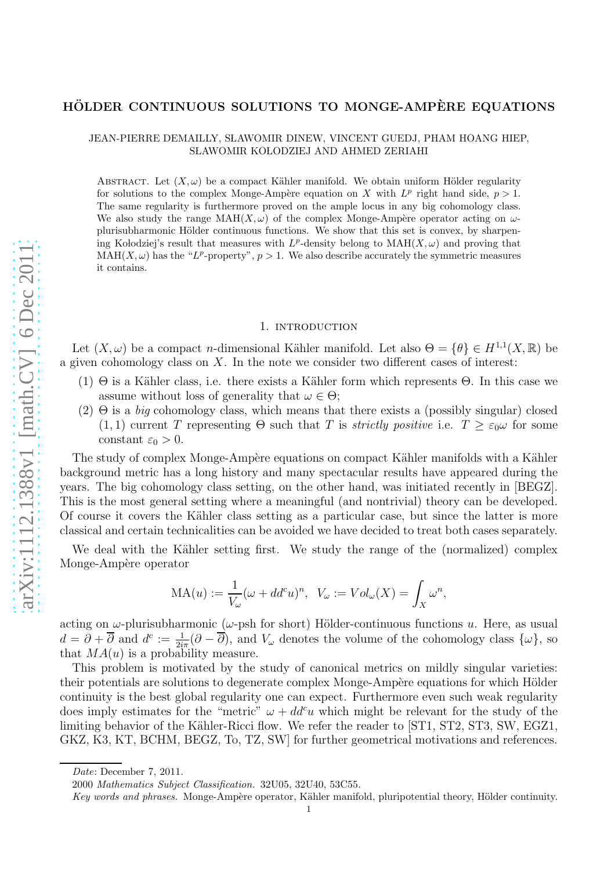# HÖLDER CONTINUOUS SOLUTIONS TO MONGE-AMPÈRE EQUATIONS

### JEAN-PIERRE DEMAILLY, SLAWOMIR DINEW, VINCENT GUEDJ, PHAM HOANG HIEP, SLAWOMIR KOŁODZIEJ AND AHMED ZERIAHI

ABSTRACT. Let  $(X, \omega)$  be a compact Kähler manifold. We obtain uniform Hölder regularity for solutions to the complex Monge-Ampère equation on X with  $L^p$  right hand side,  $p > 1$ . The same regularity is furthermore proved on the ample locus in any big cohomology class. We also study the range  $\text{MAH}(X, \omega)$  of the complex Monge-Ampère operator acting on  $\omega$ plurisubharmonic Hölder continuous functions. We show that this set is convex, by sharpening Kołodziej's result that measures with  $L^p$ -density belong to  $\text{MAH}(X,\omega)$  and proving that  $MAH(X, \omega)$  has the "L<sup>p</sup>-property",  $p > 1$ . We also describe accurately the symmetric measures it contains.

#### 1. introduction

Let  $(X, \omega)$  be a compact *n*-dimensional Kähler manifold. Let also  $\Theta = {\theta} \in H^{1,1}(X, \mathbb{R})$  be a given cohomology class on  $X$ . In the note we consider two different cases of interest:

- (1)  $\Theta$  is a Kähler class, i.e. there exists a Kähler form which represents  $\Theta$ . In this case we assume without loss of generality that  $\omega \in \Theta$ ;
- $(2)$  Θ is a *big* cohomology class, which means that there exists a (possibly singular) closed (1, 1) current T representing  $\Theta$  such that T is *strictly positive* i.e.  $T \geq \varepsilon_0 \omega$  for some constant  $\varepsilon_0 > 0$ .

The study of complex Monge-Ampère equations on compact Kähler manifolds with a Kähler background metric has a long history and many spectacular results have appeared during the years. The big cohomology class setting, on the other hand, was initiated recently in [BEGZ]. This is the most general setting where a meaningful (and nontrivial) theory can be developed. Of course it covers the K¨ahler class setting as a particular case, but since the latter is more classical and certain technicalities can be avoided we have decided to treat both cases separately.

We deal with the Kähler setting first. We study the range of the (normalized) complex Monge-Ampère operator

$$
MA(u) := \frac{1}{V_{\omega}} (\omega + dd^c u)^n, \ \ V_{\omega} := Vol_{\omega}(X) = \int_X \omega^n,
$$

acting on  $\omega$ -plurisubharmonic ( $\omega$ -psh for short) Hölder-continuous functions u. Here, as usual  $d = \partial + \overline{\partial}$  and  $d^c := \frac{1}{2i\pi}(\partial - \overline{\partial})$ , and  $V_\omega$  denotes the volume of the cohomology class  $\{\omega\}$ , so that  $MA(u)$  is a probability measure.

This problem is motivated by the study of canonical metrics on mildly singular varieties: their potentials are solutions to degenerate complex Monge-Ampère equations for which Hölder continuity is the best global regularity one can expect. Furthermore even such weak regularity does imply estimates for the "metric"  $\omega + dd^c u$  which might be relevant for the study of the limiting behavior of the Kähler-Ricci flow. We refer the reader to [ST1, ST2, ST3, SW, EGZ1, GKZ, K3, KT, BCHM, BEGZ, To, TZ, SW] for further geometrical motivations and references.

Date: December 7, 2011.

<sup>2000</sup> Mathematics Subject Classification. 32U05, 32U40, 53C55.

Key words and phrases. Monge-Ampère operator, Kähler manifold, pluripotential theory, Hölder continuity.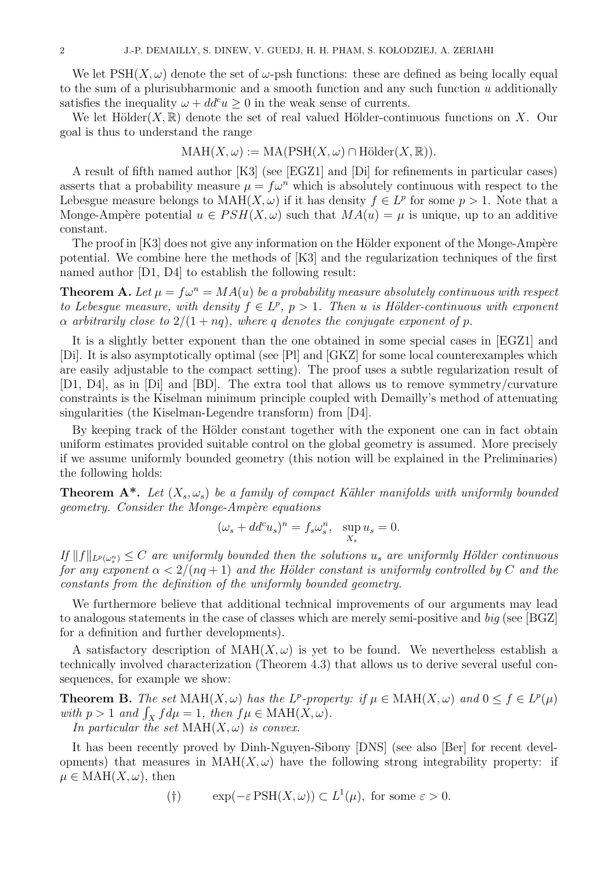We let  $PSH(X,\omega)$  denote the set of  $\omega$ -psh functions: these are defined as being locally equal to the sum of a plurisubharmonic and a smooth function and any such function  $u$  additionally satisfies the inequality  $\omega + dd^c u > 0$  in the weak sense of currents.

We let Hölder $(X,\mathbb{R})$  denote the set of real valued Hölder-continuous functions on X. Our goal is thus to understand the range

$$
\mathrm{MAH}(X,\omega):=\mathrm{MA}(\mathrm{PSH}(X,\omega)\cap \mathrm{H\"older}(X,\mathbb{R})).
$$

A result of fifth named author [K3] (see [EGZ1] and [Di] for refinements in particular cases) asserts that a probability measure  $\mu = f\omega^n$  which is absolutely continuous with respect to the Lebesgue measure belongs to  $\text{MAH}(X,\omega)$  if it has density  $f \in L^p$  for some  $p > 1$ . Note that a Monge-Ampère potential  $u \in PSH(X, \omega)$  such that  $MA(u) = \mu$  is unique, up to an additive constant.

The proof in  $[K3]$  does not give any information on the Hölder exponent of the Monge-Ampère potential. We combine here the methods of [K3] and the regularization techniques of the first named author [D1, D4] to establish the following result:

**Theorem A.** Let  $\mu = f\omega^n = MA(u)$  be a probability measure absolutely continuous with respect to Lebesgue measure, with density  $f \in L^p$ ,  $p > 1$ . Then u is Hölder-continuous with exponent  $\alpha$  arbitrarily close to  $2/(1 + nq)$ , where q denotes the conjugate exponent of p.

It is a slightly better exponent than the one obtained in some special cases in [EGZ1] and [Di]. It is also asymptotically optimal (see [Pl] and [GKZ] for some local counterexamples which are easily adjustable to the compact setting). The proof uses a subtle regularization result of [D1, D4], as in [Di] and [BD]. The extra tool that allows us to remove symmetry/curvature constraints is the Kiselman minimum principle coupled with Demailly's method of attenuating singularities (the Kiselman-Legendre transform) from [D4].

By keeping track of the Hölder constant together with the exponent one can in fact obtain uniform estimates provided suitable control on the global geometry is assumed. More precisely if we assume uniformly bounded geometry (this notion will be explained in the Preliminaries) the following holds:

**Theorem A\*.** Let  $(X_s, \omega_s)$  be a family of compact Kähler manifolds with uniformly bounded  $q\neq q\neq q\neq q$ . Consider the Monge-Ampère equations

$$
(\omega_s + dd^c u_s)^n = f_s \omega_s^n, \quad \sup_{X_s} u_s = 0.
$$

 $\inf_{\mathcal{L}} ||f||_{L^p(\omega_s^n)} \leq C$  are uniformly bounded then the solutions  $u_s$  are uniformly Hölder continuous for any exponent  $\alpha < 2/(nq+1)$  and the Hölder constant is uniformly controlled by C and the constants from the definition of the uniformly bounded geometry.

We furthermore believe that additional technical improvements of our arguments may lead to analogous statements in the case of classes which are merely semi-positive and big (see [BGZ] for a definition and further developments).

A satisfactory description of  $MAH(X, \omega)$  is yet to be found. We nevertheless establish a technically involved characterization (Theorem 4.3) that allows us to derive several useful consequences, for example we show:

**Theorem B.** The set  $\text{MAH}(X, \omega)$  has the  $L^p$ -property: if  $\mu \in \text{MAH}(X, \omega)$  and  $0 \le f \in L^p(\mu)$ with  $p > 1$  and  $\int_X f d\mu = 1$ , then  $f\mu \in \text{MAH}(X, \omega)$ .

In particular the set  $\text{MAH}(X,\omega)$  is convex.

It has been recently proved by Dinh-Nguyen-Sibony [DNS] (see also [Ber] for recent developments) that measures in  $MAH(X,\omega)$  have the following strong integrability property: if  $\mu \in \text{MAH}(X, \omega)$ , then

$$
(\dagger) \qquad \exp(-\varepsilon \operatorname{PSH}(X,\omega)) \subset L^1(\mu), \text{ for some } \varepsilon > 0.
$$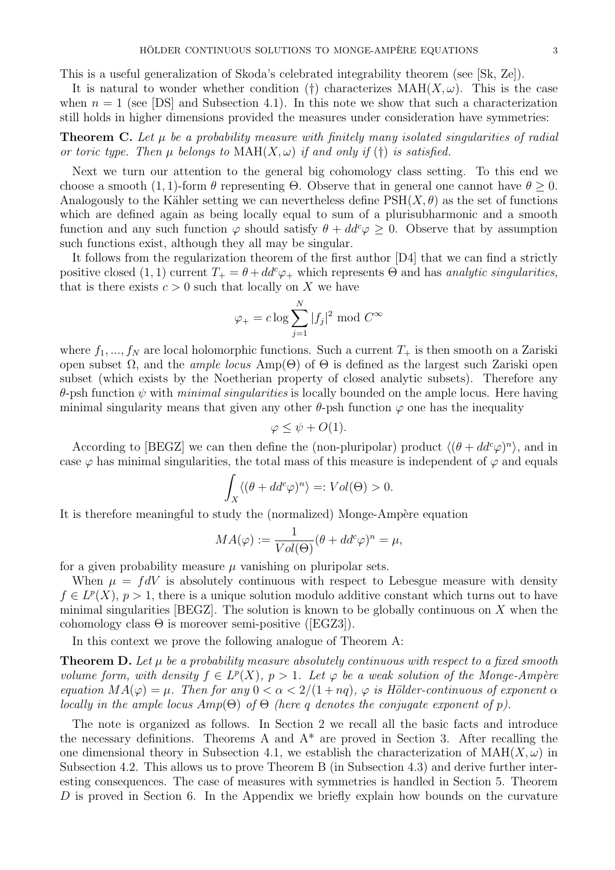This is a useful generalization of Skoda's celebrated integrability theorem (see [Sk, Ze]).

It is natural to wonder whether condition (†) characterizes  $\text{MAH}(X,\omega)$ . This is the case when  $n = 1$  (see [DS] and Subsection 4.1). In this note we show that such a characterization still holds in higher dimensions provided the measures under consideration have symmetries:

**Theorem C.** Let  $\mu$  be a probability measure with finitely many isolated singularities of radial or toric type. Then  $\mu$  belongs to  $\text{MAH}(X, \omega)$  if and only if (†) is satisfied.

Next we turn our attention to the general big cohomology class setting. To this end we choose a smooth (1, 1)-form  $\theta$  representing  $\Theta$ . Observe that in general one cannot have  $\theta \geq 0$ . Analogously to the Kähler setting we can nevertheless define  $PSH(X, \theta)$  as the set of functions which are defined again as being locally equal to sum of a plurisubharmonic and a smooth function and any such function  $\varphi$  should satisfy  $\theta + dd^c \varphi \geq 0$ . Observe that by assumption such functions exist, although they all may be singular.

It follows from the regularization theorem of the first author [D4] that we can find a strictly positive closed  $(1, 1)$  current  $T_+ = \theta + dd^c \varphi_+$  which represents  $\Theta$  and has analytic singularities, that is there exists  $c > 0$  such that locally on X we have

$$
\varphi_{+} = c \log \sum_{j=1}^{N} |f_j|^2 \text{ mod } C^{\infty}
$$

where  $f_1, ..., f_N$  are local holomorphic functions. Such a current  $T_+$  is then smooth on a Zariski open subset Ω, and the *ample locus* Amp( $\Theta$ ) of  $\Theta$  is defined as the largest such Zariski open subset (which exists by the Noetherian property of closed analytic subsets). Therefore any θ-psh function ψ with *minimal singularities* is locally bounded on the ample locus. Here having minimal singularity means that given any other  $\theta$ -psh function  $\varphi$  one has the inequality

$$
\varphi \leq \psi + O(1).
$$

According to [BEGZ] we can then define the (non-pluripolar) product  $\langle (\theta + dd^c \varphi)^n \rangle$ , and in case  $\varphi$  has minimal singularities, the total mass of this measure is independent of  $\varphi$  and equals

$$
\int_X \langle (\theta + dd^c \varphi)^n \rangle =: Vol(\Theta) > 0.
$$

It is therefore meaningful to study the (normalized) Monge-Ampère equation

$$
MA(\varphi) := \frac{1}{Vol(\Theta)} (\theta + dd^c \varphi)^n = \mu,
$$

for a given probability measure  $\mu$  vanishing on pluripolar sets.

When  $\mu = fdV$  is absolutely continuous with respect to Lebesgue measure with density  $f \in L^p(X)$ ,  $p > 1$ , there is a unique solution modulo additive constant which turns out to have minimal singularities [BEGZ]. The solution is known to be globally continuous on X when the cohomology class  $\Theta$  is moreover semi-positive ([EGZ3]).

In this context we prove the following analogue of Theorem A:

**Theorem D.** Let  $\mu$  be a probability measure absolutely continuous with respect to a fixed smooth volume form, with density  $f \in L^p(X)$ ,  $p > 1$ . Let  $\varphi$  be a weak solution of the Monge-Ampère equation  $MA(\varphi) = \mu$ . Then for any  $0 < \alpha < 2/(1 + nq)$ ,  $\varphi$  is Hölder-continuous of exponent  $\alpha$ locally in the ample locus  $Amp(\Theta)$  of  $\Theta$  (here q denotes the conjugate exponent of p).

The note is organized as follows. In Section 2 we recall all the basic facts and introduce the necessary definitions. Theorems A and  $A^*$  are proved in Section 3. After recalling the one dimensional theory in Subsection 4.1, we establish the characterization of  $MAH(X, \omega)$  in Subsection 4.2. This allows us to prove Theorem B (in Subsection 4.3) and derive further interesting consequences. The case of measures with symmetries is handled in Section 5. Theorem D is proved in Section 6. In the Appendix we briefly explain how bounds on the curvature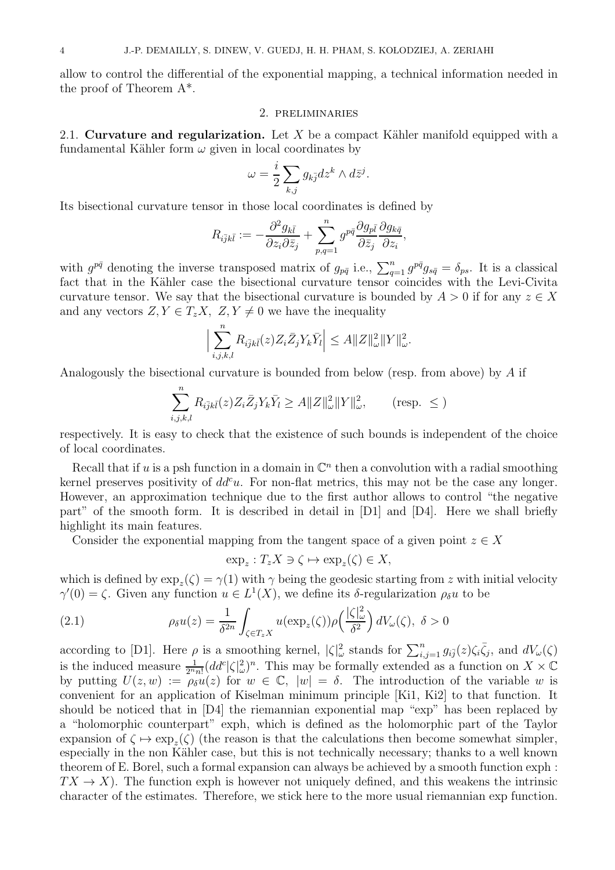allow to control the differential of the exponential mapping, a technical information needed in the proof of Theorem A\*.

#### 2. preliminaries

2.1. Curvature and regularization. Let X be a compact Kähler manifold equipped with a fundamental Kähler form  $\omega$  given in local coordinates by

$$
\omega = \frac{i}{2} \sum_{k,j} g_{k\bar{j}} dz^k \wedge d\bar{z}^j.
$$

Its bisectional curvature tensor in those local coordinates is defined by

$$
R_{i\bar{j}k\bar{l}}:=-\frac{\partial^2 g_{k\bar{l}}}{\partial z_i\partial\bar{z}_j}+\sum_{p,q=1}^ng^{p\bar{q}}\frac{\partial g_{p\bar{l}}}{\partial\bar{z}_j}\frac{\partial g_{k\bar{q}}}{\partial z_i},
$$

with  $g^{p\bar{q}}$  denoting the inverse transposed matrix of  $g_{p\bar{q}}$  i.e.,  $\sum_{q=1}^{n} g^{p\bar{q}} g_{s\bar{q}} = \delta_{ps}$ . It is a classical fact that in the Kähler case the bisectional curvature tensor coincides with the Levi-Civita curvature tensor. We say that the bisectional curvature is bounded by  $A > 0$  if for any  $z \in X$ and any vectors  $Z, Y \in T_z X$ ,  $Z, Y \neq 0$  we have the inequality

$$
\Big|\sum_{i,j,k,l}^n R_{i\bar{j}k\bar{l}}(z)Z_i\bar{Z}_jY_k\bar{Y}_l\Big|\leq A\|Z\|_{\omega}^2\|Y\|_{\omega}^2.
$$

Analogously the bisectional curvature is bounded from below (resp. from above) by A if

$$
\sum_{i,j,k,l}^{n} R_{i\overline{j}k\overline{l}}(z) Z_i \overline{Z}_j Y_k \overline{Y}_l \ge A \|Z\|_{\omega}^2 \|Y\|_{\omega}^2, \qquad \text{(resp. } \le \text{)}
$$

respectively. It is easy to check that the existence of such bounds is independent of the choice of local coordinates.

Recall that if u is a psh function in a domain in  $\mathbb{C}^n$  then a convolution with a radial smoothing kernel preserves positivity of  $dd^c u$ . For non-flat metrics, this may not be the case any longer. However, an approximation technique due to the first author allows to control "the negative part" of the smooth form. It is described in detail in [D1] and [D4]. Here we shall briefly highlight its main features.

Consider the exponential mapping from the tangent space of a given point  $z \in X$ 

$$
\exp_z: T_z X \ni \zeta \mapsto \exp_z(\zeta) \in X,
$$

which is defined by  $\exp_z(\zeta) = \gamma(1)$  with  $\gamma$  being the geodesic starting from z with initial velocity  $\gamma'(0) = \zeta$ . Given any function  $u \in L^1(X)$ , we define its  $\delta$ -regularization  $\rho_{\delta}u$  to be

(2.1) 
$$
\rho_{\delta}u(z) = \frac{1}{\delta^{2n}} \int_{\zeta \in T_z X} u(\exp_z(\zeta)) \rho\left(\frac{|\zeta|_{\omega}^2}{\delta^2}\right) dV_{\omega}(\zeta), \ \delta > 0
$$

according to [D1]. Here  $\rho$  is a smoothing kernel,  $|\zeta|^2_{\omega}$  stands for  $\sum_{i,j=1}^n g_{i\bar{j}}(z)\zeta_i\bar{\zeta}_j$ , and  $dV_{\omega}(\zeta)$ is the induced measure  $\frac{1}{2^n n!} (dd^c |\zeta|^2)$ <sup>n</sup>. This may be formally extended as a function on  $X \times \mathbb{C}$ by putting  $U(z, w) := \overline{\rho_{\delta}u(z)}$  for  $w \in \mathbb{C}$ ,  $|w| = \delta$ . The introduction of the variable w is convenient for an application of Kiselman minimum principle [Ki1, Ki2] to that function. It should be noticed that in [D4] the riemannian exponential map "exp" has been replaced by a "holomorphic counterpart" exph, which is defined as the holomorphic part of the Taylor expansion of  $\zeta \mapsto \exp_z(\zeta)$  (the reason is that the calculations then become somewhat simpler, especially in the non Kähler case, but this is not technically necessary; thanks to a well known theorem of E. Borel, such a formal expansion can always be achieved by a smooth function exph :  $TX \to X$ ). The function exph is however not uniquely defined, and this weakens the intrinsic character of the estimates. Therefore, we stick here to the more usual riemannian exp function.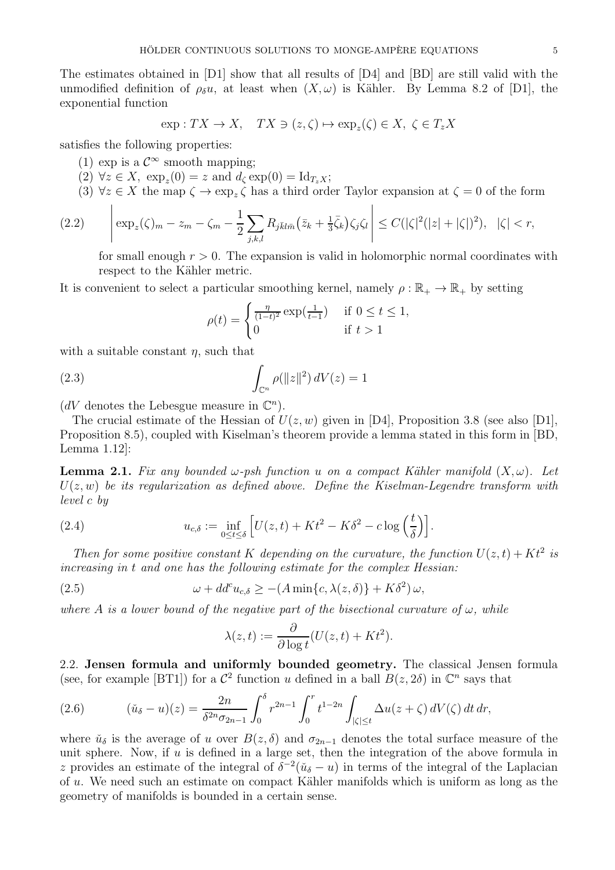The estimates obtained in [D1] show that all results of [D4] and [BD] are still valid with the unmodified definition of  $\rho_{\delta}u$ , at least when  $(X,\omega)$  is Kähler. By Lemma 8.2 of [D1], the exponential function

$$
\exp: TX \to X, \quad TX \ni (z, \zeta) \mapsto \exp_z(\zeta) \in X, \ \zeta \in T_z X
$$

satisfies the following properties:

- (1) exp is a  $\mathcal{C}^{\infty}$  smooth mapping;
- $(2) \forall z \in X$ ,  $\exp_z(0) = z$  and  $d_\zeta \exp(0) = \mathrm{Id}_{T_z X}$ ;
- (3)  $\forall z \in X$  the map  $\zeta \to \exp_z \zeta$  has a third order Taylor expansion at  $\zeta = 0$  of the form

$$
(2.2) \qquad \left| \exp_z(\zeta)_m - z_m - \zeta_m - \frac{1}{2} \sum_{j,k,l} R_{j\bar{k}l\bar{m}} (\bar{z}_k + \frac{1}{3} \bar{\zeta}_k) \zeta_j \zeta_l \right| \leq C(|\zeta|^2 (|z| + |\zeta|)^2), \quad |\zeta| < r,
$$

for small enough  $r > 0$ . The expansion is valid in holomorphic normal coordinates with respect to the Kähler metric.

It is convenient to select a particular smoothing kernel, namely  $\rho : \mathbb{R}_+ \to \mathbb{R}_+$  by setting

$$
\rho(t) = \begin{cases} \frac{\eta}{(1-t)^2} \exp(\frac{1}{t-1}) & \text{if } 0 \le t \le 1, \\ 0 & \text{if } t > 1 \end{cases}
$$

with a suitable constant  $\eta$ , such that

(2.3) 
$$
\int_{\mathbb{C}^n} \rho(\|z\|^2) dV(z) = 1
$$

( $dV$  denotes the Lebesgue measure in  $\mathbb{C}^n$ ).

The crucial estimate of the Hessian of  $U(z, w)$  given in [D4], Proposition 3.8 (see also [D1], Proposition 8.5), coupled with Kiselman's theorem provide a lemma stated in this form in [BD, Lemma 1.12]:

**Lemma 2.1.** Fix any bounded  $\omega$ -psh function u on a compact Kähler manifold  $(X, \omega)$ . Let  $U(z, w)$  be its regularization as defined above. Define the Kiselman-Legendre transform with level c by

(2.4) 
$$
u_{c,\delta} := \inf_{0 \le t \le \delta} \left[ U(z,t) + Kt^2 - K\delta^2 - c \log\left(\frac{t}{\delta}\right) \right].
$$

Then for some positive constant K depending on the curvature, the function  $U(z,t) + Kt^2$  is increasing in t and one has the following estimate for the complex Hessian:

(2.5) 
$$
\omega + dd^c u_{c,\delta} \ge -(A \min\{c, \lambda(z,\delta)\} + K\delta^2) \omega,
$$

where A is a lower bound of the negative part of the bisectional curvature of  $\omega$ , while

$$
\lambda(z,t) := \frac{\partial}{\partial \log t} (U(z,t) + Kt^2).
$$

2.2. Jensen formula and uniformly bounded geometry. The classical Jensen formula (see, for example [BT1]) for a  $\mathcal{C}^2$  function u defined in a ball  $B(z, 2\delta)$  in  $\mathbb{C}^n$  says that

(2.6) 
$$
(\check{u}_{\delta} - u)(z) = \frac{2n}{\delta^{2n} \sigma_{2n-1}} \int_0^{\delta} r^{2n-1} \int_0^r t^{1-2n} \int_{|\zeta| \le t} \Delta u(z + \zeta) dV(\zeta) dt dr,
$$

where  $\check{u}_{\delta}$  is the average of u over  $B(z, \delta)$  and  $\sigma_{2n-1}$  denotes the total surface measure of the unit sphere. Now, if  $u$  is defined in a large set, then the integration of the above formula in z provides an estimate of the integral of  $\delta^{-2}(\tilde{u}_{\delta} - u)$  in terms of the integral of the Laplacian of  $u$ . We need such an estimate on compact Kähler manifolds which is uniform as long as the geometry of manifolds is bounded in a certain sense.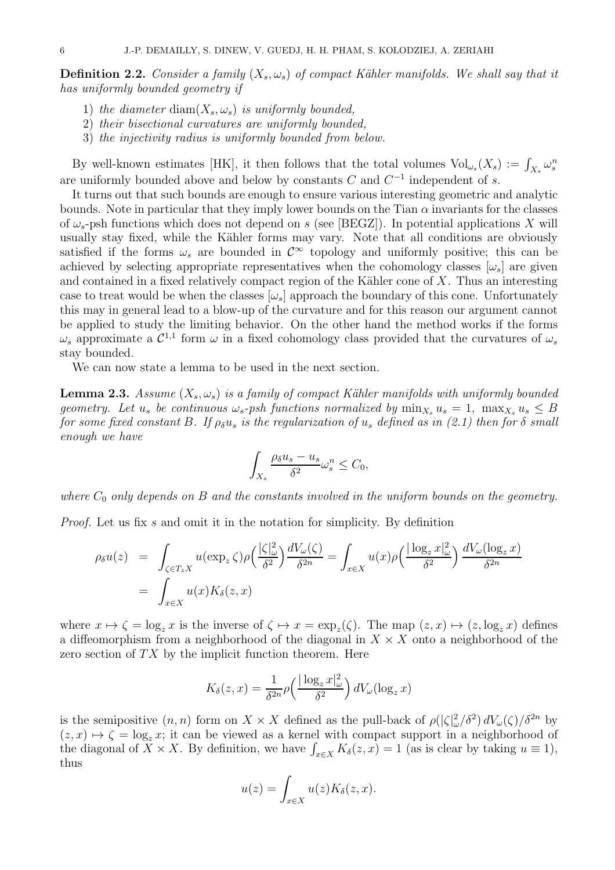**Definition 2.2.** Consider a family  $(X_s, \omega_s)$  of compact Kähler manifolds. We shall say that it has uniformly bounded geometry if

- 1) the diameter diam $(X_s, \omega_s)$  is uniformly bounded,
- 2) their bisectional curvatures are uniformly bounded,
- 3) the injectivity radius is uniformly bounded from below.

By well-known estimates [HK], it then follows that the total volumes  $Vol_{\omega_s}(X_s) := \int_{X_s} \omega_s^m$ are uniformly bounded above and below by constants  $C$  and  $C^{-1}$  independent of  $s$ .

It turns out that such bounds are enough to ensure various interesting geometric and analytic bounds. Note in particular that they imply lower bounds on the Tian  $\alpha$  invariants for the classes of  $\omega_s$ -psh functions which does not depend on s (see [BEGZ]). In potential applications X will usually stay fixed, while the Kähler forms may vary. Note that all conditions are obviously satisfied if the forms  $\omega_s$  are bounded in  $\mathcal{C}^{\infty}$  topology and uniformly positive; this can be achieved by selecting appropriate representatives when the cohomology classes  $[\omega_s]$  are given and contained in a fixed relatively compact region of the Kähler cone of  $X$ . Thus an interesting case to treat would be when the classes  $[\omega_s]$  approach the boundary of this cone. Unfortunately this may in general lead to a blow-up of the curvature and for this reason our argument cannot be applied to study the limiting behavior. On the other hand the method works if the forms  $\omega_s$  approximate a  $\mathcal{C}^{1,1}$  form  $\omega$  in a fixed cohomology class provided that the curvatures of  $\omega_s$ stay bounded.

We can now state a lemma to be used in the next section.

**Lemma 2.3.** Assume  $(X_s, \omega_s)$  is a family of compact Kähler manifolds with uniformly bounded geometry. Let  $u_s$  be continuous  $\omega_s$ -psh functions normalized by  $\min_{X_s} u_s = 1$ ,  $\max_{X_s} u_s \leq B$ for some fixed constant B. If  $\rho_{\delta} u_s$  is the regularization of  $u_s$  defined as in (2.1) then for  $\delta$  small enough we have

$$
\int_{X_s} \frac{\rho_\delta u_s - u_s}{\delta^2} \omega_s^n \le C_0,
$$

where  $C_0$  only depends on B and the constants involved in the uniform bounds on the geometry.

Proof. Let us fix s and omit it in the notation for simplicity. By definition

$$
\rho_{\delta}u(z) = \int_{\zeta \in T_z X} u(\exp_z \zeta) \rho\left(\frac{|\zeta|_{\omega}^2}{\delta^2}\right) \frac{dV_{\omega}(\zeta)}{\delta^{2n}} = \int_{x \in X} u(x) \rho\left(\frac{|\log_z x|_{\omega}^2}{\delta^2}\right) \frac{dV_{\omega}(\log_z x)}{\delta^{2n}}
$$

$$
= \int_{x \in X} u(x) K_{\delta}(z, x)
$$

where  $x \mapsto \zeta = \log_z x$  is the inverse of  $\zeta \mapsto x = \exp_z(\zeta)$ . The map  $(z, x) \mapsto (z, \log_z x)$  defines a diffeomorphism from a neighborhood of the diagonal in  $X \times X$  onto a neighborhood of the zero section of  $TX$  by the implicit function theorem. Here

$$
K_{\delta}(z,x) = \frac{1}{\delta^{2n}} \rho\left(\frac{|\log_z x|_{\omega}^2}{\delta^2}\right) dV_{\omega}(\log_z x)
$$

is the semipositive  $(n, n)$  form on  $X \times X$  defined as the pull-back of  $\rho(|\zeta|_{\omega}^2/\delta^2) dV_{\omega}(\zeta)/\delta^{2n}$  by  $(z, x) \mapsto \zeta = \log_z x$ ; it can be viewed as a kernel with compact support in a neighborhood of the diagonal of  $X \times X$ . By definition, we have  $\int_{x \in X} K_{\delta}(z, x) = 1$  (as is clear by taking  $u \equiv 1$ ), thus

$$
u(z) = \int_{x \in X} u(z) K_{\delta}(z, x).
$$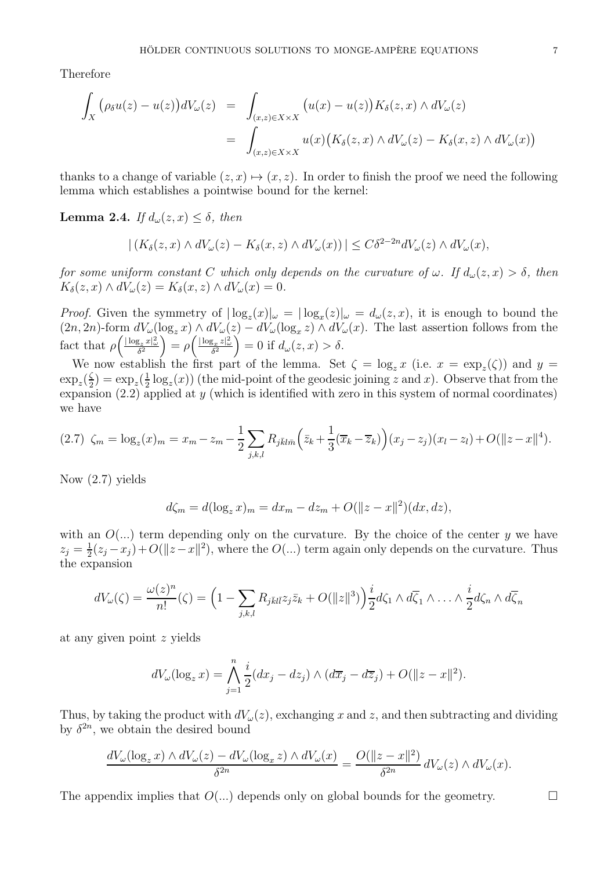Therefore

$$
\int_X (\rho_\delta u(z) - u(z)) dV_\omega(z) = \int_{(x,z)\in X\times X} (u(x) - u(z)) K_\delta(z, x) \wedge dV_\omega(z)
$$
\n
$$
= \int_{(x,z)\in X\times X} u(x) (K_\delta(z, x) \wedge dV_\omega(z) - K_\delta(x, z) \wedge dV_\omega(x))
$$

thanks to a change of variable  $(z, x) \mapsto (x, z)$ . In order to finish the proof we need the following lemma which establishes a pointwise bound for the kernel:

**Lemma 2.4.** If  $d_{\omega}(z, x) \leq \delta$ , then

$$
| (K_{\delta}(z,x) \wedge dV_{\omega}(z) - K_{\delta}(x,z) \wedge dV_{\omega}(x) ) | \leq C \delta^{2-2n} dV_{\omega}(z) \wedge dV_{\omega}(x),
$$

for some uniform constant C which only depends on the curvature of  $\omega$ . If  $d_{\omega}(z, x) > \delta$ , then  $K_{\delta}(z, x) \wedge dV_{\omega}(z) = K_{\delta}(x, z) \wedge dV_{\omega}(x) = 0.$ 

*Proof.* Given the symmetry of  $|\log_z(x)|_{\omega} = |\log_x(z)|_{\omega} = d_{\omega}(z, x)$ , it is enough to bound the  $(2n, 2n)$ -form  $dV_{\omega}(\log_z x) \wedge dV_{\omega}(z) - dV_{\omega}(\log_x z) \wedge dV_{\omega}(x)$ . The last assertion follows from the fact that  $\rho\left(\frac{|\log_z x|_{\omega}^2}{\delta^2}\right) = \rho\left(\frac{|\log_x z|_{\omega}^2}{\delta^2}\right) = 0$  if  $d_{\omega}(z, x) > \delta$ .

We now establish the first part of the lemma. Set  $\zeta = \log_z x$  (i.e.  $x = \exp_z(\zeta)$ ) and  $y =$  $\exp_z(\frac{\zeta}{2})$  $\frac{\zeta}{2}$ ) = exp<sub>z</sub> $\left(\frac{1}{2}\right)$  $\frac{1}{2}$ log<sub>z</sub> $(x)$ ) (the mid-point of the geodesic joining z and x). Observe that from the expansion  $(2.2)$  applied at y (which is identified with zero in this system of normal coordinates) we have

$$
(2.7) \zeta_m = \log_z(x)_m = x_m - z_m - \frac{1}{2} \sum_{j,k,l} R_{j\bar{k}l\bar{m}} \left( \bar{z}_k + \frac{1}{3} (\overline{x}_k - \overline{z}_k) \right) (x_j - z_j)(x_l - z_l) + O(||z - x||^4).
$$

Now (2.7) yields

$$
d\zeta_m = d(\log_z x)_m = dx_m - dx_m + O(||z - x||^2)(dx, dz),
$$

with an  $O(...)$  term depending only on the curvature. By the choice of the center y we have  $z_j=\frac{1}{2}$  $\frac{1}{2}(z_j - x_j) + O(||z - x||^2)$ , where the  $O(...)$  term again only depends on the curvature. Thus the expansion

$$
dV_{\omega}(\zeta) = \frac{\omega(z)^n}{n!}(\zeta) = \left(1 - \sum_{j,k,l} R_{j\bar{k}l\bar{l}} z_j \bar{z}_k + O(\|z\|^3)\right) \frac{i}{2} d\zeta_1 \wedge d\overline{\zeta}_1 \wedge \ldots \wedge \frac{i}{2} d\zeta_n \wedge d\overline{\zeta}_n
$$

at any given point z yields

$$
dV_{\omega}(\log_z x) = \bigwedge_{j=1}^n \frac{i}{2}(dx_j - dz_j) \wedge (d\overline{x}_j - d\overline{z}_j) + O(\|z - x\|^2).
$$

Thus, by taking the product with  $dV_{\omega}(z)$ , exchanging x and z, and then subtracting and dividing by  $\delta^{2n}$ , we obtain the desired bound

$$
\frac{dV_{\omega}(\log_z x) \wedge dV_{\omega}(z) - dV_{\omega}(\log_x z) \wedge dV_{\omega}(x)}{\delta^{2n}} = \frac{O(\|z - x\|^2)}{\delta^{2n}} dV_{\omega}(z) \wedge dV_{\omega}(x).
$$

The appendix implies that  $O(...)$  depends only on global bounds for the geometry.  $\Box$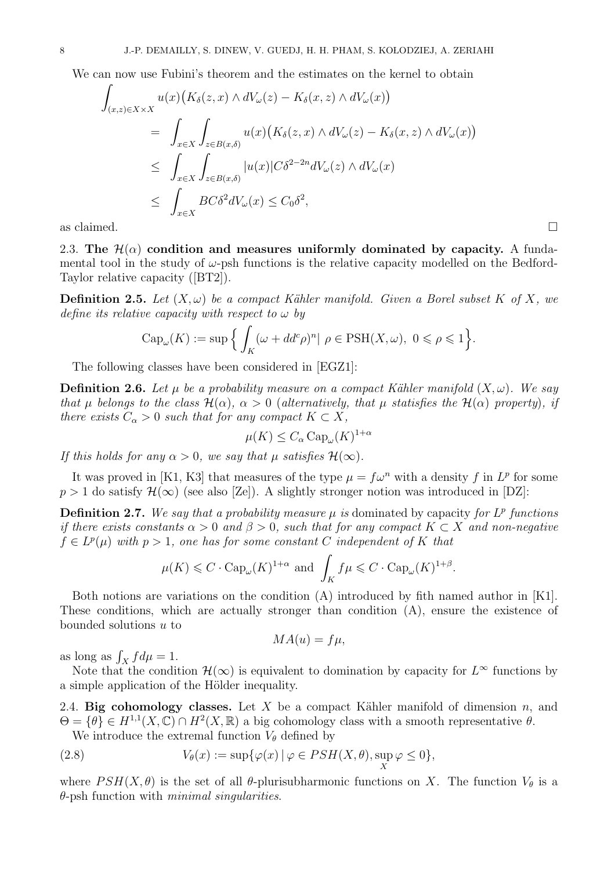We can now use Fubini's theorem and the estimates on the kernel to obtain

$$
\int_{(x,z)\in X\times X} u(x) \big(K_{\delta}(z,x) \wedge dV_{\omega}(z) - K_{\delta}(x,z) \wedge dV_{\omega}(x)\big)
$$
\n
$$
= \int_{x\in X} \int_{z\in B(x,\delta)} u(x) \big(K_{\delta}(z,x) \wedge dV_{\omega}(z) - K_{\delta}(x,z) \wedge dV_{\omega}(x)\big)
$$
\n
$$
\leq \int_{x\in X} \int_{z\in B(x,\delta)} |u(x)| C\delta^{2-2n} dV_{\omega}(z) \wedge dV_{\omega}(x)
$$
\n
$$
\leq \int_{x\in X} BC\delta^{2} dV_{\omega}(x) \leq C_{0}\delta^{2},
$$

as claimed.  $\square$ 

2.3. The  $\mathcal{H}(\alpha)$  condition and measures uniformly dominated by capacity. A fundamental tool in the study of  $\omega$ -psh functions is the relative capacity modelled on the Bedford-Taylor relative capacity ([BT2]).

**Definition 2.5.** Let  $(X, \omega)$  be a compact Kähler manifold. Given a Borel subset K of X, we define its relative capacity with respect to  $\omega$  by

$$
\operatorname{Cap}_{\omega}(K) := \sup \Big\{ \int_{K} (\omega + dd^c \rho)^n | \rho \in \operatorname{PSH}(X, \omega), \ 0 \leq \rho \leq 1 \Big\}.
$$

The following classes have been considered in [EGZ1]:

**Definition 2.6.** Let  $\mu$  be a probability measure on a compact Kähler manifold  $(X, \omega)$ . We say that  $\mu$  belongs to the class  $\mathcal{H}(\alpha)$ ,  $\alpha > 0$  (alternatively, that  $\mu$  statisfies the  $\mathcal{H}(\alpha)$  property), if there exists  $C_{\alpha} > 0$  such that for any compact  $K \subset X$ ,

$$
\mu(K) \le C_{\alpha} \operatorname{Cap}_{\omega}(K)^{1+\alpha}
$$

If this holds for any  $\alpha > 0$ , we say that  $\mu$  satisfies  $\mathcal{H}(\infty)$ .

It was proved in [K1, K3] that measures of the type  $\mu = f\omega^n$  with a density f in  $L^p$  for some  $p > 1$  do satisfy  $\mathcal{H}(\infty)$  (see also [Ze]). A slightly stronger notion was introduced in [DZ]:

**Definition 2.7.** We say that a probability measure  $\mu$  is dominated by capacity for  $L^p$  functions if there exists constants  $\alpha > 0$  and  $\beta > 0$ , such that for any compact  $K \subset X$  and non-negative  $f \in L^p(\mu)$  with  $p > 1$ , one has for some constant C independent of K that

$$
\mu(K) \leq C \cdot \text{Cap}_{\omega}(K)^{1+\alpha}
$$
 and  $\int_K f\mu \leq C \cdot \text{Cap}_{\omega}(K)^{1+\beta}$ .

Both notions are variations on the condition (A) introduced by fith named author in [K1]. These conditions, which are actually stronger than condition (A), ensure the existence of bounded solutions  $u$  to

$$
MA(u) = f\mu,
$$

as long as  $\int_X f d\mu = 1$ .

Note that the condition  $\mathcal{H}(\infty)$  is equivalent to domination by capacity for  $L^{\infty}$  functions by a simple application of the Hölder inequality.

2.4. Big cohomology classes. Let X be a compact Kähler manifold of dimension n, and  $\Theta = {\theta} \in H^{1,1}(X,\mathbb{C}) \cap H^2(X,\mathbb{R})$  a big cohomology class with a smooth representative  $\theta$ .

We introduce the extremal function  $V_{\theta}$  defined by

(2.8) 
$$
V_{\theta}(x) := \sup \{ \varphi(x) \mid \varphi \in PSH(X, \theta), \sup_{X} \varphi \leq 0 \},
$$

where  $PSH(X, \theta)$  is the set of all  $\theta$ -plurisubharmonic functions on X. The function  $V_{\theta}$  is a  $\theta$ -psh function with *minimal singularities*.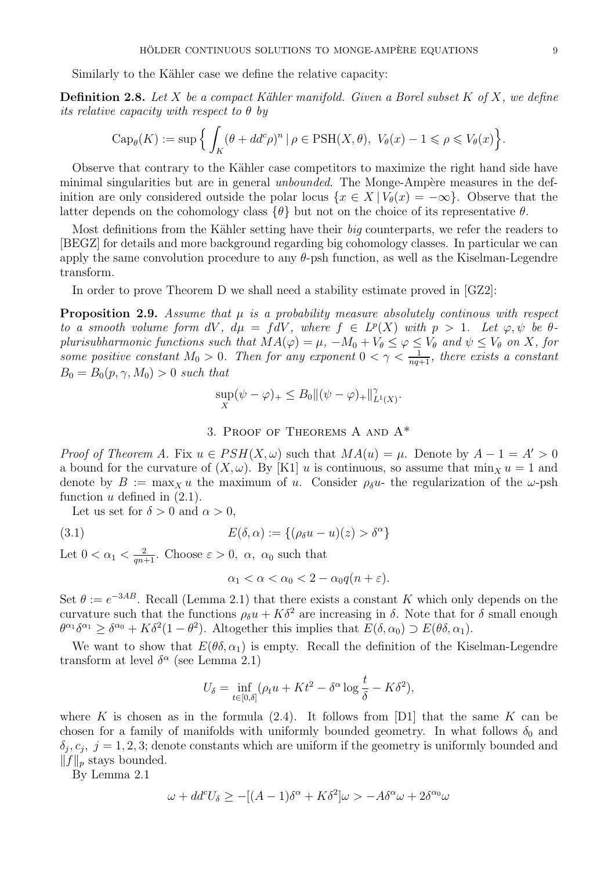Similarly to the Kähler case we define the relative capacity:

**Definition 2.8.** Let X be a compact Kähler manifold. Given a Borel subset K of X, we define its relative capacity with respect to  $\theta$  by

$$
\operatorname{Cap}_{\theta}(K) := \sup \Big\{ \int_{K} (\theta + dd^c \rho)^n \, | \, \rho \in \operatorname{PSH}(X, \theta), \ V_{\theta}(x) - 1 \leq \rho \leq V_{\theta}(x) \Big\}.
$$

Observe that contrary to the Kähler case competitors to maximize the right hand side have minimal singularities but are in general *unbounded*. The Monge-Ampère measures in the definition are only considered outside the polar locus  $\{x \in X \mid V_\theta(x) = -\infty\}$ . Observe that the latter depends on the cohomology class  $\{\theta\}$  but not on the choice of its representative  $\theta$ .

Most definitions from the Kähler setting have their big counterparts, we refer the readers to [BEGZ] for details and more background regarding big cohomology classes. In particular we can apply the same convolution procedure to any  $\theta$ -psh function, as well as the Kiselman-Legendre transform.

In order to prove Theorem D we shall need a stability estimate proved in [GZ2]:

**Proposition 2.9.** Assume that  $\mu$  is a probability measure absolutely continuous with respect to a smooth volume form  $dV$ ,  $d\mu = fdV$ , where  $f \in L^p(X)$  with  $p > 1$ . Let  $\varphi, \psi$  be  $\theta$ plurisubharmonic functions such that  $MA(\varphi) = \mu$ ,  $-M_0 + V_{\theta} \leq \varphi \leq V_{\theta}$  and  $\psi \leq V_{\theta}$  on X, for some positive constant  $M_0 > 0$ . Then for any exponent  $0 < \gamma < \frac{1}{nq+1}$ , there exists a constant  $B_0 = B_0(p, \gamma, M_0) > 0$  such that

$$
\sup_X(\psi - \varphi)_+ \leq B_0 \|(\psi - \varphi)_+\|_{L^1(X)}^{\gamma}.
$$

# 3. Proof of Theorems A and A\*

*Proof of Theorem A.* Fix  $u \in PSH(X, \omega)$  such that  $MA(u) = \mu$ . Denote by  $A - 1 = A' > 0$ a bound for the curvature of  $(X, \omega)$ . By [K1] u is continuous, so assume that min<sub>X</sub> u = 1 and denote by  $B := \max_{x} u$  the maximum of u. Consider  $\rho_{\delta} u$ - the regularization of the  $\omega$ -psh function  $u$  defined in  $(2.1)$ .

Let us set for  $\delta > 0$  and  $\alpha > 0$ ,

(3.1) 
$$
E(\delta, \alpha) := \{(\rho_{\delta} u - u)(z) > \delta^{\alpha}\}\
$$

Let  $0 < \alpha_1 < \frac{2}{qn+1}$ . Choose  $\varepsilon > 0$ ,  $\alpha$ ,  $\alpha_0$  such that

$$
\alpha_1 < \alpha < \alpha_0 < 2 - \alpha_0 q(n + \varepsilon).
$$

Set  $\theta := e^{-3AB}$ . Recall (Lemma 2.1) that there exists a constant K which only depends on the curvature such that the functions  $\rho_{\delta} u + K \delta^2$  are increasing in  $\delta$ . Note that for  $\delta$  small enough  $\theta^{\alpha_1}\delta^{\alpha_1} \geq \delta^{\alpha_0} + K\delta^2(1-\theta^2)$ . Altogether this implies that  $E(\delta, \alpha_0) \supset E(\theta\delta, \alpha_1)$ .

We want to show that  $E(\theta \delta, \alpha_1)$  is empty. Recall the definition of the Kiselman-Legendre transform at level  $\delta^{\alpha}$  (see Lemma 2.1)

$$
U_{\delta} = \inf_{t \in [0,\delta]} (\rho_t u + Kt^2 - \delta^{\alpha} \log \frac{t}{\delta} - K\delta^2),
$$

where K is chosen as in the formula  $(2.4)$ . It follows from [D1] that the same K can be chosen for a family of manifolds with uniformly bounded geometry. In what follows  $\delta_0$  and  $\delta_j$ ,  $c_j$ ,  $j = 1, 2, 3$ ; denote constants which are uniform if the geometry is uniformly bounded and  $||f||_p$  stays bounded.

By Lemma 2.1

$$
\omega + dd^c U_\delta \ge -[(A-1)\delta^\alpha + K\delta^2]\omega > -A\delta^\alpha \omega + 2\delta^{\alpha_0}\omega
$$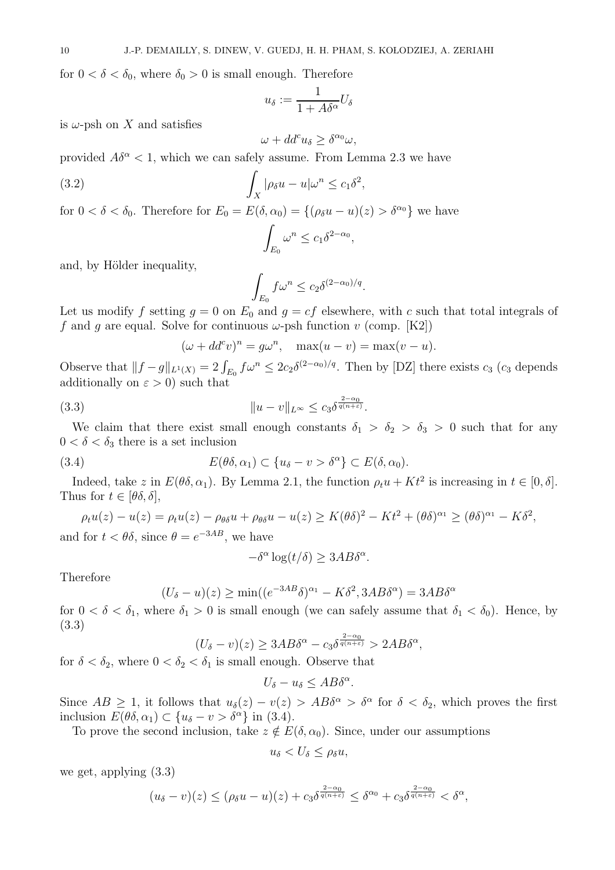for  $0 < \delta < \delta_0$ , where  $\delta_0 > 0$  is small enough. Therefore

$$
u_{\delta} := \frac{1}{1 + A\delta^{\alpha}} U_{\delta}
$$

is  $\omega$ -psh on X and satisfies

$$
\omega + dd^c u_\delta \ge \delta^{\alpha_0} \omega,
$$

provided  $A\delta^{\alpha} < 1$ , which we can safely assume. From Lemma 2.3 we have

(3.2) 
$$
\int_X |\rho_\delta u - u| \omega^n \leq c_1 \delta^2,
$$

for  $0 < \delta < \delta_0$ . Therefore for  $E_0 = E(\delta, \alpha_0) = \{(\rho_\delta u - u)(z) > \delta^{\alpha_0}\}\)$  we have

$$
\int_{E_0} \omega^n \le c_1 \delta^{2-\alpha_0},
$$

and, by Hölder inequality,

$$
\int_{E_0} f \omega^n \le c_2 \delta^{(2-\alpha_0)/q}.
$$

Let us modify f setting  $g = 0$  on  $E_0$  and  $g = cf$  elsewhere, with c such that total integrals of f and q are equal. Solve for continuous  $\omega$ -psh function v (comp. [K2])

$$
(\omega + dd^c v)^n = g\omega^n, \quad \max(u - v) = \max(v - u).
$$

Observe that  $||f-g||_{L^1(X)} = 2 \int_{E_0} f \omega^n \leq 2c_2 \delta^{(2-\alpha_0)/q}$ . Then by [DZ] there exists  $c_3$  ( $c_3$  depends additionally on  $\varepsilon > 0$ ) such that

(3.3) 
$$
||u - v||_{L^{\infty}} \leq c_3 \delta^{\frac{2-\alpha_0}{q(n+\varepsilon)}}.
$$

We claim that there exist small enough constants  $\delta_1 > \delta_2 > \delta_3 > 0$  such that for any  $0 < \delta < \delta_3$  there is a set inclusion

(3.4) 
$$
E(\theta \delta, \alpha_1) \subset \{u_\delta - v > \delta^\alpha\} \subset E(\delta, \alpha_0).
$$

Indeed, take z in  $E(\theta \delta, \alpha_1)$ . By Lemma 2.1, the function  $\rho_t u + Kt^2$  is increasing in  $t \in [0, \delta]$ . Thus for  $t \in [\theta \delta, \delta],$ 

$$
\rho_t u(z) - u(z) = \rho_t u(z) - \rho_{\theta\delta} u + \rho_{\theta\delta} u - u(z) \ge K(\theta\delta)^2 - Kt^2 + (\theta\delta)^{\alpha_1} \ge (\theta\delta)^{\alpha_1} - K\delta^2,
$$
  
and for  $t < \theta\delta$ , since  $\theta = e^{-3AB}$ , we have

$$
-\delta^{\alpha}\log(t/\delta) \ge 3AB\delta^{\alpha}.
$$

Therefore

$$
(U_{\delta} - u)(z) \ge \min((e^{-3AB}\delta)^{\alpha_1} - K\delta^2, 3AB\delta^{\alpha}) = 3AB\delta^{\alpha}
$$

for  $0 < \delta < \delta_1$ , where  $\delta_1 > 0$  is small enough (we can safely assume that  $\delta_1 < \delta_0$ ). Hence, by (3.3)

$$
(U_{\delta} - v)(z) \ge 3AB\delta^{\alpha} - c_3 \delta^{\frac{2-\alpha_0}{q(n+\varepsilon)}} > 2AB\delta^{\alpha},
$$

for  $\delta < \delta_2$ , where  $0 < \delta_2 < \delta_1$  is small enough. Observe that

$$
U_{\delta}-u_{\delta}\leq AB\delta^{\alpha}.
$$

Since  $AB \geq 1$ , it follows that  $u_{\delta}(z) - v(z) > AB\delta^{\alpha} > \delta^{\alpha}$  for  $\delta < \delta_2$ , which proves the first inclusion  $E(\theta \delta, \alpha_1) \subset \{u_\delta - v > \delta^\alpha\}$  in (3.4).

To prove the second inclusion, take  $z \notin E(\delta, \alpha_0)$ . Since, under our assumptions

$$
u_{\delta} < U_{\delta} \leq \rho_{\delta} u,
$$

we get, applying (3.3)

$$
(u_{\delta}-v)(z) \leq (\rho_{\delta}u-u)(z) + c_3 \delta^{\frac{2-\alpha_0}{q(n+\varepsilon)}} \leq \delta^{\alpha_0} + c_3 \delta^{\frac{2-\alpha_0}{q(n+\varepsilon)}} < \delta^{\alpha},
$$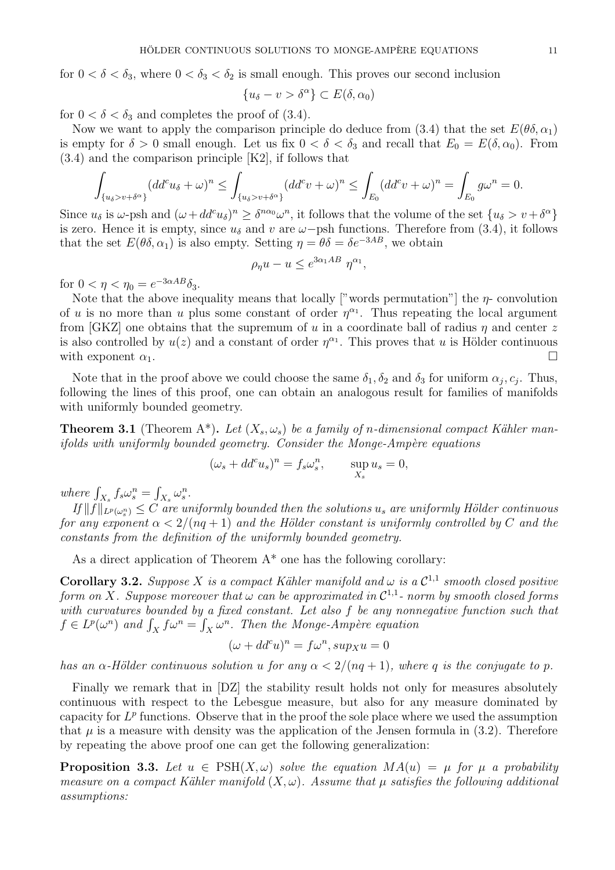for  $0 < \delta < \delta_3$ , where  $0 < \delta_3 < \delta_2$  is small enough. This proves our second inclusion

$$
\{u_\delta - v > \delta^\alpha\} \subset E(\delta, \alpha_0)
$$

for  $0 < \delta < \delta_3$  and completes the proof of (3.4).

Now we want to apply the comparison principle do deduce from (3.4) that the set  $E(\theta \delta, \alpha_1)$ is empty for  $\delta > 0$  small enough. Let us fix  $0 < \delta < \delta_3$  and recall that  $E_0 = E(\delta_1, \alpha_0)$ . From (3.4) and the comparison principle [K2], if follows that

$$
\int_{\{u_{\delta} > v + \delta^{\alpha}\}} (dd^{c} u_{\delta} + \omega)^{n} \le \int_{\{u_{\delta} > v + \delta^{\alpha}\}} (dd^{c} v + \omega)^{n} \le \int_{E_{0}} (dd^{c} v + \omega)^{n} = \int_{E_{0}} g \omega^{n} = 0.
$$

Since  $u_{\delta}$  is  $\omega$ -psh and  $(\omega + dd^c u_{\delta})^n \geq \delta^{n\alpha_0} \omega^n$ , it follows that the volume of the set  $\{u_{\delta} > v + \delta^{\alpha}\}\$ is zero. Hence it is empty, since  $u_{\delta}$  and v are  $\omega$ -psh functions. Therefore from (3.4), it follows that the set  $E(\theta \delta, \alpha_1)$  is also empty. Setting  $\eta = \theta \delta = \delta e^{-3AB}$ , we obtain

$$
\rho_{\eta}u - u \leq e^{3\alpha_1 AB} \eta^{\alpha_1},
$$

for  $0 < \eta < \eta_0 = e^{-3\alpha AB} \delta_3$ .

Note that the above inequality means that locally ["words permutation"] the  $\eta$ - convolution of u is no more than u plus some constant of order  $\eta^{\alpha_1}$ . Thus repeating the local argument from [GKZ] one obtains that the supremum of u in a coordinate ball of radius  $\eta$  and center z is also controlled by  $u(z)$  and a constant of order  $\eta^{\alpha_1}$ . This proves that u is Hölder continuous with exponent  $\alpha_1$ .

Note that in the proof above we could choose the same  $\delta_1, \delta_2$  and  $\delta_3$  for uniform  $\alpha_j, c_j$ . Thus, following the lines of this proof, one can obtain an analogous result for families of manifolds with uniformly bounded geometry.

**Theorem 3.1** (Theorem A\*). Let  $(X_s, \omega_s)$  be a family of n-dimensional compact Kähler manifolds with uniformly bounded geometry. Consider the Monge-Ampère equations

$$
(\omega_s + dd^c u_s)^n = f_s \omega_s^n, \qquad \sup_{X_s} u_s = 0,
$$

where  $\int_{X_s} f_s \omega_s^n = \int_{X_s} \omega_s^n$ .

 $\|H\|_{L^p(\omega_s^n)} \leq C$  are uniformly bounded then the solutions  $u_s$  are uniformly Hölder continuous for any exponent  $\alpha < 2/(nq+1)$  and the Hölder constant is uniformly controlled by C and the constants from the definition of the uniformly bounded geometry.

As a direct application of Theorem  $A^*$  one has the following corollary:

**Corollary 3.2.** Suppose X is a compact Kähler manifold and  $\omega$  is a  $\mathcal{C}^{1,1}$  smooth closed positive form on X. Suppose moreover that  $\omega$  can be approximated in  $\mathcal{C}^{1,1}$ - norm by smooth closed forms with curvatures bounded by a fixed constant. Let also f be any nonnegative function such that  $f \in L^p(\omega^n)$  and  $\int_X f \omega^n = \int_X \omega^n$ . Then the Monge-Ampère equation

$$
(\omega + dd^c u)^n = f\omega^n, \sup_X u = 0
$$

has an  $\alpha$ -Hölder continuous solution u for any  $\alpha < 2/(nq+1)$ , where q is the conjugate to p.

Finally we remark that in [DZ] the stability result holds not only for measures absolutely continuous with respect to the Lebesgue measure, but also for any measure dominated by capacity for  $L^p$  functions. Observe that in the proof the sole place where we used the assumption that  $\mu$  is a measure with density was the application of the Jensen formula in (3.2). Therefore by repeating the above proof one can get the following generalization:

**Proposition 3.3.** Let  $u \in \text{PSH}(X, \omega)$  solve the equation  $MA(u) = \mu$  for  $\mu$  a probability measure on a compact Kähler manifold  $(X, \omega)$ . Assume that  $\mu$  satisfies the following additional assumptions: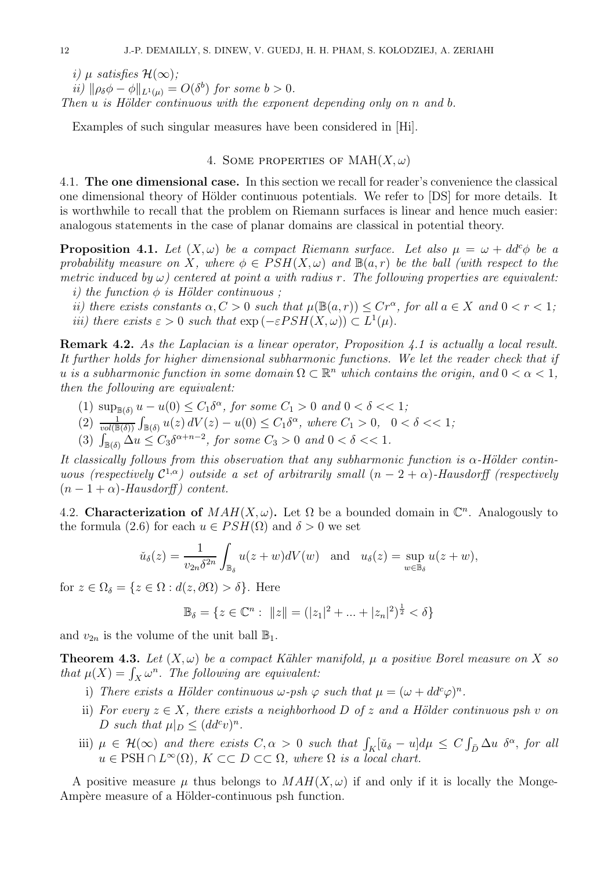i)  $\mu$  satisfies  $\mathcal{H}(\infty)$ :

ii)  $\|\rho_{\delta}\phi - \phi\|_{L^1(\mu)} = O(\delta^b)$  for some  $b > 0$ . Then  $u$  is Hölder continuous with the exponent depending only on  $n$  and  $b$ .

Examples of such singular measures have been considered in [Hi].

## 4. SOME PROPERTIES OF  $MAH(X,\omega)$

4.1. The one dimensional case. In this section we recall for reader's convenience the classical one dimensional theory of Hölder continuous potentials. We refer to [DS] for more details. It is worthwhile to recall that the problem on Riemann surfaces is linear and hence much easier: analogous statements in the case of planar domains are classical in potential theory.

**Proposition 4.1.** Let  $(X, \omega)$  be a compact Riemann surface. Let also  $\mu = \omega + dd^c \phi$  be a probability measure on X, where  $\phi \in PSH(X, \omega)$  and  $\mathbb{B}(a, r)$  be the ball (with respect to the metric induced by  $\omega$ ) centered at point a with radius r. The following properties are equivalent: i) the function  $\phi$  is Hölder continuous;

ii) there exists constants  $\alpha, C > 0$  such that  $\mu(\mathbb{B}(a,r)) \leq Cr^{\alpha}$ , for all  $a \in X$  and  $0 < r < 1$ ; *iii*) there exists  $\varepsilon > 0$  such that  $\exp(-\varepsilon PSH(X,\omega)) \subset L^1(\mu)$ .

Remark 4.2. As the Laplacian is a linear operator, Proposition 4.1 is actually a local result. It further holds for higher dimensional subharmonic functions. We let the reader check that if u is a subharmonic function in some domain  $\Omega \subset \mathbb{R}^n$  which contains the origin, and  $0 < \alpha < 1$ , then the following are equivalent:

- (1)  $\sup_{\mathbb{B}(\delta)} u u(0) \leq C_1 \delta^{\alpha}$ , for some  $C_1 > 0$  and  $0 < \delta < 1$ ;
- (2)  $\frac{1}{vol(\mathbb{B}(\delta))} \int_{\mathbb{B}(\delta)} u(z) dV(z) u(0) \leq C_1 \delta^{\alpha}$ , where  $C_1 > 0$ ,  $0 < \delta < 1$ ;
- (3)  $\int_{\mathbb{B}(\delta)} \Delta u \leq C_3 \delta^{\alpha+n-2}$ , for some  $C_3 > 0$  and  $0 < \delta < 1$ .

It classically follows from this observation that any subharmonic function is  $\alpha$ -Hölder continuous (respectively  $\mathcal{C}^{1,\alpha}$ ) outside a set of arbitrarily small  $(n-2+\alpha)$ -Hausdorff (respectively  $(n-1+\alpha)$ -Hausdorff) content.

4.2. Characterization of  $MAH(X, \omega)$ . Let  $\Omega$  be a bounded domain in  $\mathbb{C}^n$ . Analogously to the formula (2.6) for each  $u \in PSH(\Omega)$  and  $\delta > 0$  we set

$$
\check{u}_{\delta}(z) = \frac{1}{v_{2n}\delta^{2n}} \int_{\mathbb{B}_{\delta}} u(z+w) dV(w) \text{ and } u_{\delta}(z) = \sup_{w \in \mathbb{B}_{\delta}} u(z+w),
$$

for  $z \in \Omega_{\delta} = \{z \in \Omega : d(z, \partial \Omega) > \delta\}.$  Here

$$
\mathbb{B}_{\delta} = \{ z \in \mathbb{C}^n : ||z|| = (|z_1|^2 + ... + |z_n|^2)^{\frac{1}{2}} < \delta \}
$$

and  $v_{2n}$  is the volume of the unit ball  $\mathbb{B}_1$ .

**Theorem 4.3.** Let  $(X, \omega)$  be a compact Kähler manifold,  $\mu$  a positive Borel measure on X so that  $\mu(X) = \int_X \omega^n$ . The following are equivalent:

- i) There exists a Hölder continuous  $\omega$ -psh  $\varphi$  such that  $\mu = (\omega + dd^c \varphi)^n$ .
- ii) For every  $z \in X$ , there exists a neighborhood D of z and a Hölder continuous psh v on D such that  $\mu|_D \leq (dd^c v)^n$ .
- iii)  $\mu \in \mathcal{H}(\infty)$  and there exists  $C, \alpha > 0$  such that  $\int_K [\tilde{u}_{\delta} u] d\mu \leq C \int_{\bar{D}} \Delta u \, \delta^{\alpha}$ , for all  $u \in \text{PSH} \cap L^{\infty}(\Omega)$ ,  $K \subset\subset D \subset\subset \Omega$ , where  $\Omega$  is a local chart.

A positive measure  $\mu$  thus belongs to  $MAH(X, \omega)$  if and only if it is locally the Monge-Ampère measure of a Hölder-continuous psh function.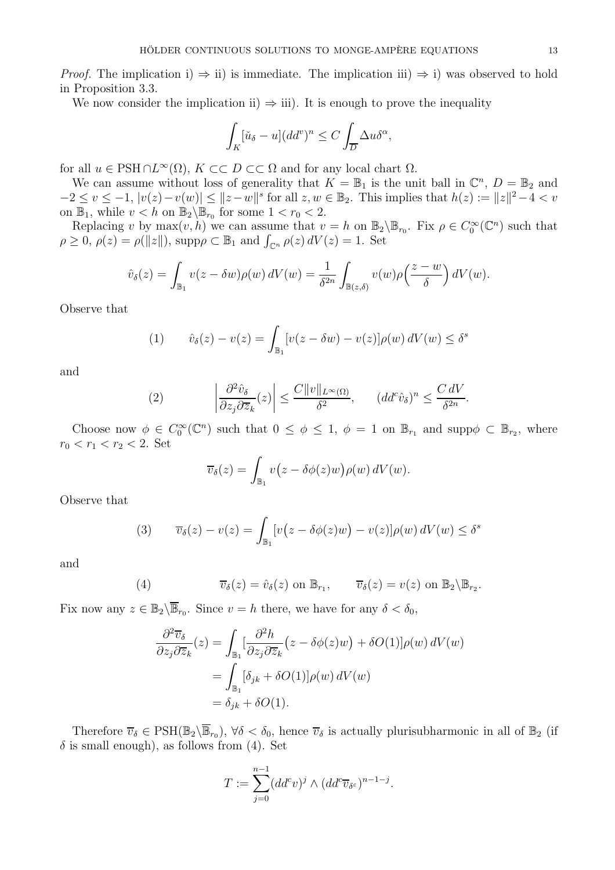*Proof.* The implication i)  $\Rightarrow$  ii) is immediate. The implication iii)  $\Rightarrow$  i) was observed to hold in Proposition 3.3.

We now consider the implication ii)  $\Rightarrow$  iii). It is enough to prove the inequality

$$
\int_K [\check{u}_{\delta} - u](dd^v)^n \le C \int_{\overline{D}} \Delta u \delta^{\alpha},
$$

for all  $u \in \text{PSH} \cap L^{\infty}(\Omega)$ ,  $K \subset\subset D \subset\subset \Omega$  and for any local chart  $\Omega$ .

We can assume without loss of generality that  $K = \mathbb{B}_1$  is the unit ball in  $\mathbb{C}^n$ ,  $D = \mathbb{B}_2$  and  $-2 \le v \le -1, |v(z)-v(w)| \le ||z-w||^s$  for all  $z, w \in \mathbb{B}_2$ . This implies that  $h(z) := ||z||^2 - 4 < v$ on  $\mathbb{B}_1$ , while  $v < h$  on  $\mathbb{B}_2 \backslash \mathbb{B}_{r_0}$  for some  $1 < r_0 < 2$ .

Replacing v by  $\max(v, h)$  we can assume that  $v = h$  on  $\mathbb{B}_2 \setminus \mathbb{B}_{r_0}$ . Fix  $\rho \in C_0^{\infty}(\mathbb{C}^n)$  such that  $\rho \geq 0$ ,  $\rho(z) = \rho(||z||)$ , supp $\rho \subset \mathbb{B}_1$  and  $\int_{\mathbb{C}^n} \rho(z) dV(z) = 1$ . Set

$$
\hat{v}_{\delta}(z) = \int_{\mathbb{B}_1} v(z - \delta w) \rho(w) dV(w) = \frac{1}{\delta^{2n}} \int_{\mathbb{B}(z,\delta)} v(w) \rho\left(\frac{z - w}{\delta}\right) dV(w).
$$

Observe that

(1) 
$$
\hat{v}_{\delta}(z) - v(z) = \int_{\mathbb{B}_1} [v(z - \delta w) - v(z)] \rho(w) dV(w) \leq \delta^s
$$

and

(2) 
$$
\left|\frac{\partial^2 \hat{v}_{\delta}}{\partial z_j \partial \overline{z}_k}(z)\right| \leq \frac{C \|v\|_{L^{\infty}(\Omega)}}{\delta^2}, \qquad (dd^c \hat{v}_{\delta})^n \leq \frac{C dV}{\delta^{2n}}.
$$

Choose now  $\phi \in C_0^{\infty}(\mathbb{C}^n)$  such that  $0 \leq \phi \leq 1$ ,  $\phi = 1$  on  $\mathbb{B}_{r_1}$  and supp $\phi \subset \mathbb{B}_{r_2}$ , where  $r_0 < r_1 < r_2 < 2$ . Set

$$
\overline{v}_{\delta}(z) = \int_{\mathbb{B}_1} v(z - \delta \phi(z)w) \rho(w) dV(w).
$$

Observe that

(3) 
$$
\overline{v}_{\delta}(z) - v(z) = \int_{\mathbb{B}_1} [v(z - \delta \phi(z)w) - v(z)] \rho(w) dV(w) \leq \delta^s
$$

and

(4) 
$$
\overline{v}_{\delta}(z) = \hat{v}_{\delta}(z) \text{ on } \mathbb{B}_{r_1}, \qquad \overline{v}_{\delta}(z) = v(z) \text{ on } \mathbb{B}_2 \backslash \mathbb{B}_{r_2}.
$$

Fix now any  $z \in \mathbb{B}_2 \backslash \overline{\mathbb{B}}_{r_0}$ . Since  $v = h$  there, we have for any  $\delta < \delta_0$ ,

$$
\frac{\partial^2 \overline{v}_{\delta}}{\partial z_j \partial \overline{z}_k}(z) = \int_{\mathbb{B}_1} \left[ \frac{\partial^2 h}{\partial z_j \partial \overline{z}_k} \left( z - \delta \phi(z) w \right) + \delta O(1) \right] \rho(w) dV(w)
$$

$$
= \int_{\mathbb{B}_1} \left[ \delta_{jk} + \delta O(1) \right] \rho(w) dV(w)
$$

$$
= \delta_{jk} + \delta O(1).
$$

Therefore  $\overline{v}_{\delta} \in \text{PSH}(\mathbb{B}_2 \setminus \overline{\mathbb{B}}_{r_0}), \forall \delta < \delta_0$ , hence  $\overline{v}_{\delta}$  is actually plurisubharmonic in all of  $\mathbb{B}_2$  (if  $\delta$  is small enough), as follows from (4). Set

$$
T := \sum_{j=0}^{n-1} (dd^c v)^j \wedge (dd^c \overline{v}_{\delta^{\varepsilon}})^{n-1-j}.
$$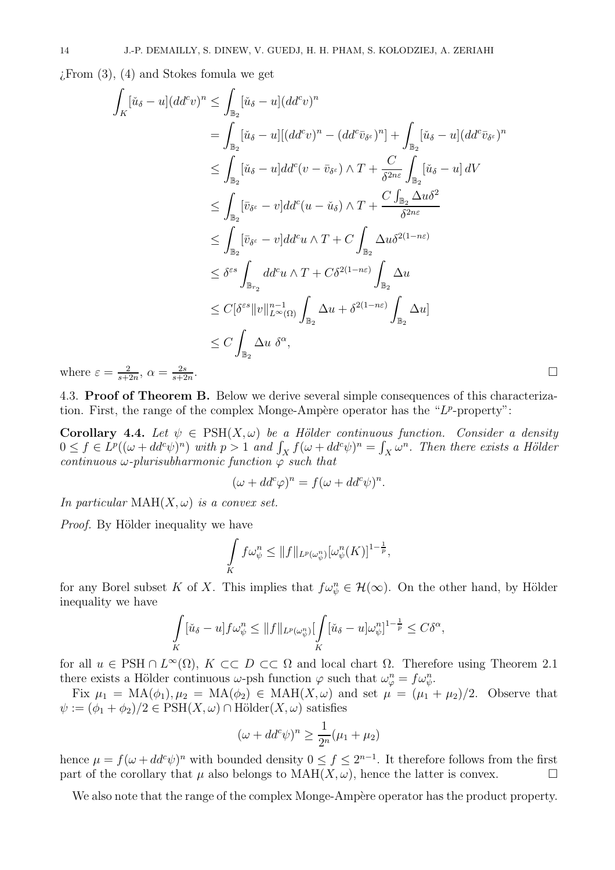$\chi$ From  $(3)$ ,  $(4)$  and Stokes fomula we get

$$
\int_{K} [\check{u}_{\delta} - u](dd^{c}v)^{n} \leq \int_{\mathbb{B}_{2}} [\check{u}_{\delta} - u](dd^{c}v)^{n}
$$
\n
$$
= \int_{\mathbb{B}_{2}} [\check{u}_{\delta} - u][(dd^{c}v)^{n} - (dd^{c}\bar{v}_{\delta^{c}})^{n}] + \int_{\mathbb{B}_{2}} [\check{u}_{\delta} - u](dd^{c}\bar{v}_{\delta^{c}})^{n}
$$
\n
$$
\leq \int_{\mathbb{B}_{2}} [\check{u}_{\delta} - u]dd^{c}(v - \bar{v}_{\delta^{c}}) \wedge T + \frac{C}{\delta^{2n\varepsilon}} \int_{\mathbb{B}_{2}} [\check{u}_{\delta} - u] dV
$$
\n
$$
\leq \int_{\mathbb{B}_{2}} [\bar{v}_{\delta^{c}} - v] dd^{c}(u - \check{u}_{\delta}) \wedge T + \frac{C \int_{\mathbb{B}_{2}} \Delta u \delta^{2}}{\delta^{2n\varepsilon}}
$$
\n
$$
\leq \int_{\mathbb{B}_{2}} [\bar{v}_{\delta^{c}} - v] dd^{c}u \wedge T + C \int_{\mathbb{B}_{2}} \Delta u \delta^{2(1 - n\varepsilon)}
$$
\n
$$
\leq \delta^{\varepsilon s} \int_{\mathbb{B}_{r_{2}}} dd^{c}u \wedge T + C\delta^{2(1 - n\varepsilon)} \int_{\mathbb{B}_{2}} \Delta u
$$
\n
$$
\leq C[\delta^{\varepsilon s} ||v||_{L^{\infty}(\Omega)}^{n-1} \int_{\mathbb{B}_{2}} \Delta u + \delta^{2(1 - n\varepsilon)} \int_{\mathbb{B}_{2}} \Delta u]
$$
\n
$$
\leq C \int_{\mathbb{B}_{2}} \Delta u \delta^{\alpha},
$$
\n
$$
v = \frac{2}{s + 2n}, \alpha = \frac{2s}{s + 2n}.
$$

where  $\varepsilon$  $s+2n$  $s+2n$ 

4.3. Proof of Theorem B. Below we derive several simple consequences of this characterization. First, the range of the complex Monge-Ampère operator has the " $L^p$ -property":

Corollary 4.4. Let  $\psi \in \text{PSH}(X, \omega)$  be a Hölder continuous function. Consider a density  $0 \le f \in L^p((\omega + dd^c \psi)^n)$  with  $p > 1$  and  $\int_X f(\omega + dd^c \psi)^n = \int_X \omega^n$ . Then there exists a Hölder continuous  $\omega$ -plurisubharmonic function  $\varphi$  such that

$$
(\omega + dd^c \varphi)^n = f(\omega + dd^c \psi)^n.
$$

In particular  $MAH(X, \omega)$  is a convex set.

*Proof.* By Hölder inequality we have

$$
\int\limits_K f\omega_{\psi}^n \leq ||f||_{L^p(\omega_{\psi}^n)}[\omega_{\psi}^n(K)]^{1-\frac{1}{p}},
$$

for any Borel subset K of X. This implies that  $f\omega_{\psi}^n \in \mathcal{H}(\infty)$ . On the other hand, by Hölder inequality we have

$$
\int\limits_K [\check{u}_\delta - u] f \omega_\psi^n \leq \|f\|_{L^p(\omega_\psi^n)} \left[\int\limits_K [\check{u}_\delta - u] \omega_\psi^n\right]^{1-\frac{1}{p}} \leq C\delta^\alpha,
$$

for all  $u \in \text{PSH} \cap L^{\infty}(\Omega)$ ,  $K \subset\subset D \subset\subset \Omega$  and local chart  $\Omega$ . Therefore using Theorem 2.1 there exists a Hölder continuous  $\omega$ -psh function  $\varphi$  such that  $\omega_{\varphi}^n = f \omega_{\psi}^n$ .

Fix  $\mu_1 = MA(\phi_1), \mu_2 = MA(\phi_2) \in MAH(X, \omega)$  and set  $\mu = (\mu_1 + \mu_2)/2$ . Observe that  $\psi := (\phi_1 + \phi_2)/2 \in \text{PSH}(X, \omega) \cap \text{Hölder}(X, \omega)$  satisfies

$$
(\omega + dd^c \psi)^n \ge \frac{1}{2^n} (\mu_1 + \mu_2)
$$

hence  $\mu = f(\omega + dd^c \psi)^n$  with bounded density  $0 \le f \le 2^{n-1}$ . It therefore follows from the first part of the corollary that  $\mu$  also belongs to  $MAH(X, \omega)$ , hence the latter is convex.

We also note that the range of the complex Monge-Ampère operator has the product property.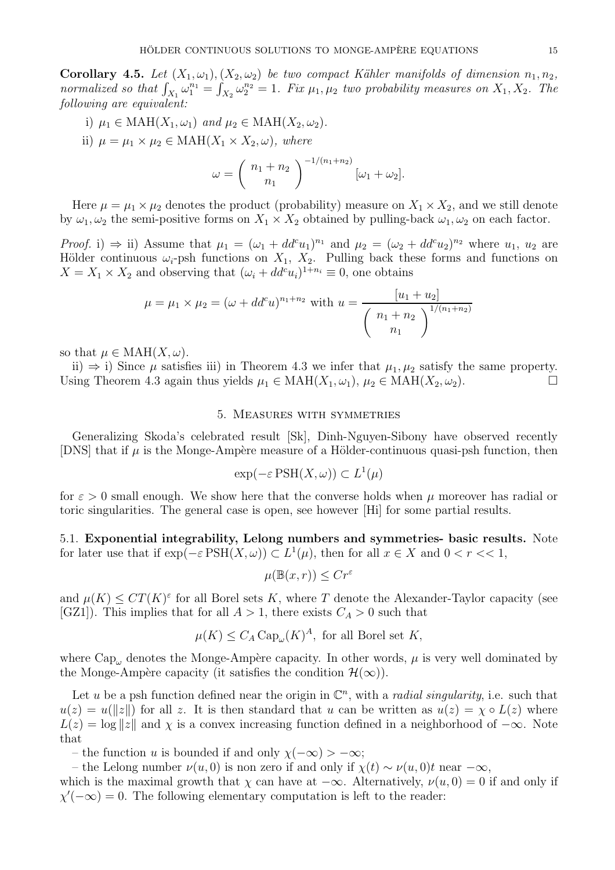**Corollary 4.5.** Let  $(X_1, \omega_1), (X_2, \omega_2)$  be two compact Kähler manifolds of dimension  $n_1, n_2$ , normalized so that  $\int_{X_1} \omega_1^{n_1} = \int_{X_2} \omega_2^{n_2} = 1$ . Fix  $\mu_1, \mu_2$  two probability measures on  $X_1, X_2$ . The following are equivalent:

i)  $\mu_1 \in \text{MAH}(X_1, \omega_1)$  and  $\mu_2 \in \text{MAH}(X_2, \omega_2)$ . ii)  $\mu = \mu_1 \times \mu_2 \in \text{MAH}(X_1 \times X_2, \omega)$ , where  $\omega = \left( \begin{array}{c} n_1 + n_2 \ n \end{array} \right)$  $n_1$  $\bigwedge \frac{-1/(n_1+n_2)}{n_1+n_2}$  $[\omega_1 + \omega_2].$ 

Here  $\mu = \mu_1 \times \mu_2$  denotes the product (probability) measure on  $X_1 \times X_2$ , and we still denote by  $\omega_1, \omega_2$  the semi-positive forms on  $X_1 \times X_2$  obtained by pulling-back  $\omega_1, \omega_2$  on each factor.

Proof. i)  $\Rightarrow$  ii) Assume that  $\mu_1 = (\omega_1 + dd^c u_1)^{n_1}$  and  $\mu_2 = (\omega_2 + dd^c u_2)^{n_2}$  where  $u_1, u_2$  are Hölder continuous  $\omega_i$ -psh functions on  $X_1$ ,  $X_2$ . Pulling back these forms and functions on  $X = X_1 \times X_2$  and observing that  $(\omega_i + dd^c u_i)^{1+n_i} \equiv 0$ , one obtains

$$
\mu = \mu_1 \times \mu_2 = (\omega + dd^c u)^{n_1 + n_2} \text{ with } u = \frac{[u_1 + u_2]}{\left(\begin{array}{c} n_1 + n_2 \\ n_1 \end{array}\right)^{1/(n_1 + n_2)}}
$$

so that  $\mu \in \text{MAH}(X, \omega)$ .

ii) ⇒ i) Since  $\mu$  satisfies iii) in Theorem 4.3 we infer that  $\mu_1, \mu_2$  satisfy the same property.<br>sing Theorem 4.3 again thus yields  $\mu_1 \in \text{MAH}(X_1, \omega_1)$ ,  $\mu_2 \in \text{MAH}(X_2, \omega_2)$ . Using Theorem 4.3 again thus yields  $\mu_1 \in \text{MAH}(X_1, \omega_1), \mu_2 \in \text{MAH}(X_2, \omega_2)$ .

### 5. Measures with symmetries

Generalizing Skoda's celebrated result [Sk], Dinh-Nguyen-Sibony have observed recently [DNS] that if  $\mu$  is the Monge-Ampère measure of a Hölder-continuous quasi-psh function, then

$$
\exp(-\varepsilon \operatorname{PSH}(X,\omega)) \subset L^1(\mu)
$$

for  $\varepsilon > 0$  small enough. We show here that the converse holds when  $\mu$  moreover has radial or toric singularities. The general case is open, see however [Hi] for some partial results.

5.1. Exponential integrability, Lelong numbers and symmetries- basic results. Note for later use that if  $\exp(-\varepsilon \operatorname{PSH}(X,\omega)) \subset L^1(\mu)$ , then for all  $x \in X$  and  $0 < r < 1$ ,

$$
\mu(\mathbb{B}(x,r)) \le Cr^{\varepsilon}
$$

and  $\mu(K) \leq CT(K)^{\varepsilon}$  for all Borel sets K, where T denote the Alexander-Taylor capacity (see [GZ1]). This implies that for all  $A > 1$ , there exists  $C_A > 0$  such that

$$
\mu(K) \le C_A \operatorname{Cap}_{\omega}(K)^A, \text{ for all Borel set } K,
$$

where  $Cap_\omega$  denotes the Monge-Ampère capacity. In other words,  $\mu$  is very well dominated by the Monge-Ampère capacity (it satisfies the condition  $\mathcal{H}(\infty)$ ).

Let u be a psh function defined near the origin in  $\mathbb{C}^n$ , with a *radial singularity*, i.e. such that  $u(z) = u(||z||)$  for all z. It is then standard that u can be written as  $u(z) = \chi \circ L(z)$  where  $L(z) = \log ||z||$  and  $\chi$  is a convex increasing function defined in a neighborhood of  $-\infty$ . Note that

– the function u is bounded if and only  $\chi(-\infty) > -\infty$ ;

– the Lelong number  $\nu(u, 0)$  is non zero if and only if  $\chi(t) \sim \nu(u, 0)t$  near  $-\infty$ ,

which is the maximal growth that  $\chi$  can have at  $-\infty$ . Alternatively,  $\nu(u, 0) = 0$  if and only if  $\chi'(-\infty) = 0$ . The following elementary computation is left to the reader: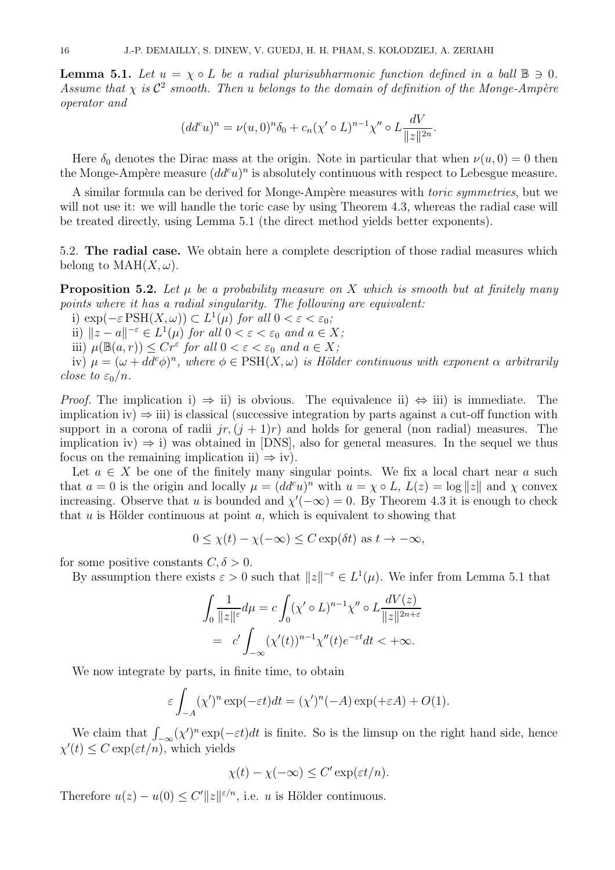**Lemma 5.1.** Let  $u = \chi \circ L$  be a radial plurisubharmonic function defined in a ball  $\mathbb{B} \ni 0$ . Assume that  $\chi$  is  $\mathcal{C}^2$  smooth. Then u belongs to the domain of definition of the Monge-Ampère operator and

$$
(dd^{c}u)^{n} = \nu(u,0)^{n}\delta_{0} + c_{n}(\chi' \circ L)^{n-1}\chi'' \circ L\frac{dV}{\|z\|^{2n}}.
$$

Here  $\delta_0$  denotes the Dirac mass at the origin. Note in particular that when  $\nu(u, 0) = 0$  then the Monge-Ampère measure  $(dd^c u)^n$  is absolutely continuous with respect to Lebesgue measure.

A similar formula can be derived for Monge-Ampère measures with *toric symmetries*, but we will not use it: we will handle the toric case by using Theorem 4.3, whereas the radial case will be treated directly, using Lemma 5.1 (the direct method yields better exponents).

5.2. The radial case. We obtain here a complete description of those radial measures which belong to  $\text{MAH}(X,\omega)$ .

**Proposition 5.2.** Let  $\mu$  be a probability measure on X which is smooth but at finitely many points where it has a radial singularity. The following are equivalent:

i)  $\exp(-\varepsilon \operatorname{PSH}(X,\omega)) \subset L^1(\mu)$  for all  $0 < \varepsilon < \varepsilon_0$ ;

ii)  $||z - a||^{-\varepsilon} \in L^1(\mu)$  for all  $0 < \varepsilon < \varepsilon_0$  and  $a \in X$ ;

iii)  $\mu(\mathbb{B}(a,r)) \leq Cr^{\varepsilon}$  for all  $0 < \varepsilon < \varepsilon_0$  and  $a \in X$ ;

iv)  $\mu = (\omega + dd^c \phi)^n$ , where  $\phi \in \text{PSH}(X, \omega)$  is Hölder continuous with exponent  $\alpha$  arbitrarily close to  $\varepsilon_0/n$ .

*Proof.* The implication i)  $\Rightarrow$  ii) is obvious. The equivalence ii)  $\Leftrightarrow$  iii) is immediate. The implication iv)  $\Rightarrow$  iii) is classical (successive integration by parts against a cut-off function with support in a corona of radii  $jr, (j + 1)r)$  and holds for general (non radial) measures. The implication iv)  $\Rightarrow$  i) was obtained in [DNS], also for general measures. In the sequel we thus focus on the remaining implication ii)  $\Rightarrow$  iv).

Let  $a \in X$  be one of the finitely many singular points. We fix a local chart near a such that  $a = 0$  is the origin and locally  $\mu = (dd^c u)^n$  with  $u = \chi \circ L$ ,  $L(z) = \log ||z||$  and  $\chi$  convex increasing. Observe that u is bounded and  $\chi'(-\infty) = 0$ . By Theorem 4.3 it is enough to check that  $u$  is Hölder continuous at point  $a$ , which is equivalent to showing that

$$
0 \le \chi(t) - \chi(-\infty) \le C \exp(\delta t) \text{ as } t \to -\infty,
$$

for some positive constants  $C, \delta > 0$ .

By assumption there exists  $\varepsilon > 0$  such that  $||z||^{-\varepsilon} \in L^1(\mu)$ . We infer from Lemma 5.1 that

$$
\int_0^{\infty} \frac{1}{\|z\|_{\varepsilon}} d\mu = c \int_0^{\infty} (\chi' \circ L)^{n-1} \chi'' \circ L \frac{dV(z)}{\|z\|_{2n+\varepsilon}}
$$

$$
= c' \int_{-\infty}^{\infty} (\chi'(t))^{n-1} \chi''(t) e^{-\varepsilon t} dt < +\infty.
$$

We now integrate by parts, in finite time, to obtain

$$
\varepsilon \int_{-A} (\chi')^n \exp(-\varepsilon t) dt = (\chi')^n (-A) \exp(+\varepsilon A) + O(1).
$$

We claim that  $\int_{-\infty}^{\infty} (\chi')^n \exp(-\varepsilon t) dt$  is finite. So is the limsup on the right hand side, hence  $\chi'(t) \leq C \exp(\varepsilon t/n)$ , which yields

$$
\chi(t) - \chi(-\infty) \le C' \exp(\varepsilon t/n).
$$

Therefore  $u(z) - u(0) \le C' ||z||^{\varepsilon/n}$ , i.e. u is Hölder continuous.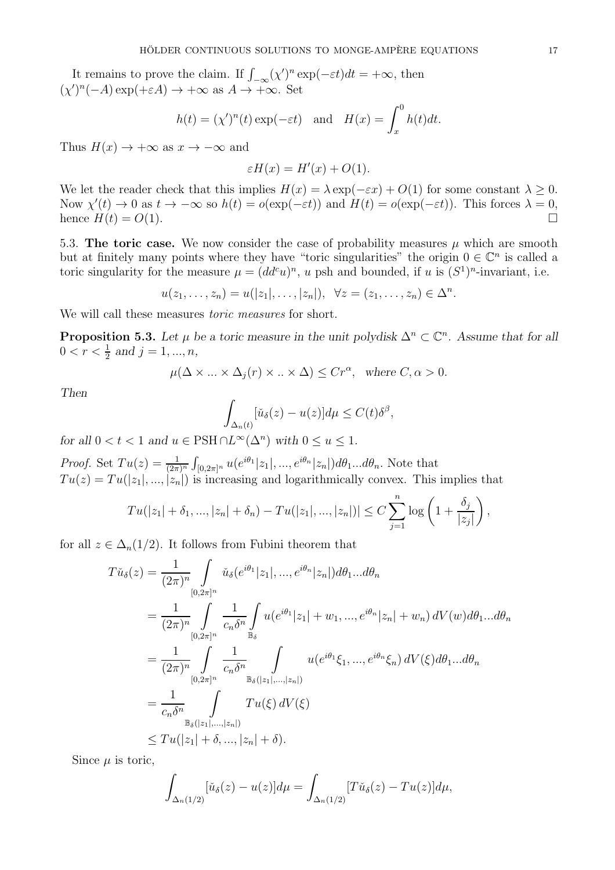It remains to prove the claim. If  $\int_{-\infty}^{\infty} (\chi')^n \exp(-\varepsilon t) dt = +\infty$ , then  $(\chi')^n(-A) \exp(+\varepsilon A) \to +\infty \text{ as } A \to +\infty. \text{ Set }$ 

$$
h(t) = (\chi')^n(t) \exp(-\varepsilon t)
$$
 and  $H(x) = \int_x^0 h(t)dt$ .

Thus  $H(x) \to +\infty$  as  $x \to -\infty$  and

$$
\varepsilon H(x) = H'(x) + O(1).
$$

We let the reader check that this implies  $H(x) = \lambda \exp(-\varepsilon x) + O(1)$  for some constant  $\lambda \geq 0$ . Now  $\chi'(t) \to 0$  as  $t \to -\infty$  so  $h(t) = o(\exp(-\varepsilon t))$  and  $H(t) = o(\exp(-\varepsilon t))$ . This forces  $\lambda = 0$ , hence  $H(t) = O(1)$ .

5.3. The toric case. We now consider the case of probability measures  $\mu$  which are smooth but at finitely many points where they have "toric singularities" the origin  $0 \in \mathbb{C}^n$  is called a toric singularity for the measure  $\mu = (dd^c u)^n$ , u psh and bounded, if u is  $(S^1)^n$ -invariant, i.e.

 $u(z_1, ..., z_n) = u(|z_1|, ..., |z_n|), \ \forall z = (z_1, ..., z_n) \in \Delta^n.$ 

We will call these measures toric measures for short.

**Proposition 5.3.** Let  $\mu$  be a toric measure in the unit polydisk  $\Delta^n \subset \mathbb{C}^n$ . Assume that for all  $0 < r < \frac{1}{2}$  and  $j = 1, ..., n$ ,

$$
\mu(\Delta \times \ldots \times \Delta_j(r) \times \ldots \times \Delta) \le Cr^{\alpha}, \text{ where } C, \alpha > 0.
$$

Then

$$
\int_{\Delta_n(t)} [\check{u}_{\delta}(z) - u(z)] d\mu \le C(t) \delta^{\beta},
$$

for all  $0 < t < 1$  and  $u \in \text{PSH} \cap L^{\infty}(\Delta^n)$  with  $0 \le u \le 1$ .

*Proof.* Set  $Tu(z) = \frac{1}{(2\pi)^n} \int_{[0,2\pi]^n} u(e^{i\theta_1} |z_1|, ..., e^{i\theta_n} |z_n|) d\theta_1 ... d\theta_n$ . Note that  $Tu(z) = Tu(|z_1|, ..., |z_n|)$  is increasing and logarithmically convex. This implies that

$$
Tu(|z_1| + \delta_1, ..., |z_n| + \delta_n) - Tu(|z_1|, ..., |z_n|)| \le C \sum_{j=1}^n \log \left(1 + \frac{\delta_j}{|z_j|}\right),
$$

for all  $z \in \Delta_n(1/2)$ . It follows from Fubini theorem that

$$
T\check{u}_{\delta}(z) = \frac{1}{(2\pi)^n} \int_{[0,2\pi]^n} \check{u}_{\delta}(e^{i\theta_1}|z_1|, ..., e^{i\theta_n}|z_n|) d\theta_1...d\theta_n
$$
  
\n
$$
= \frac{1}{(2\pi)^n} \int_{[0,2\pi]^n} \frac{1}{c_n \delta^n} \int_{\mathbb{B}_{\delta}} u(e^{i\theta_1}|z_1| + w_1, ..., e^{i\theta_n}|z_n| + w_n) dV(w) d\theta_1...d\theta_n
$$
  
\n
$$
= \frac{1}{(2\pi)^n} \int_{[0,2\pi]^n} \frac{1}{c_n \delta^n} \int_{\mathbb{B}_{\delta}(|z_1|, ..., |z_n|)} u(e^{i\theta_1}\xi_1, ..., e^{i\theta_n}\xi_n) dV(\xi) d\theta_1...d\theta_n
$$
  
\n
$$
= \frac{1}{c_n \delta^n} \int_{\mathbb{B}_{\delta}(|z_1|, ..., |z_n|)} T u(\xi) dV(\xi)
$$
  
\n
$$
\leq T u(|z_1| + \delta, ..., |z_n| + \delta).
$$

Since  $\mu$  is toric,

$$
\int_{\Delta_n(1/2)} [\check{u}_{\delta}(z) - u(z)] d\mu = \int_{\Delta_n(1/2)} [T\check{u}_{\delta}(z) - Tu(z)] d\mu,
$$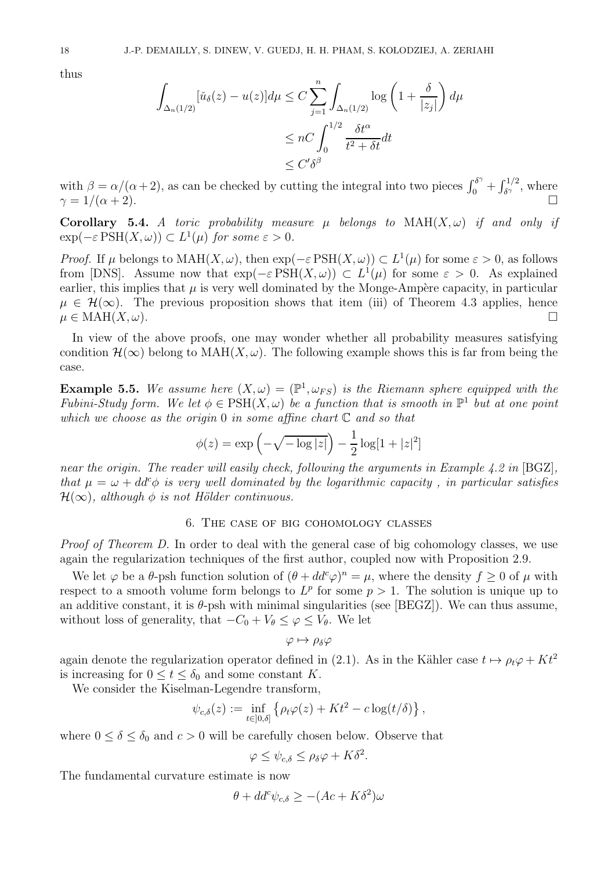thus

$$
\int_{\Delta_n(1/2)} [\check{u}_{\delta}(z) - u(z)] d\mu \le C \sum_{j=1}^n \int_{\Delta_n(1/2)} \log \left( 1 + \frac{\delta}{|z_j|} \right) d\mu
$$
  

$$
\le nC \int_0^{1/2} \frac{\delta t^{\alpha}}{t^2 + \delta t} dt
$$
  

$$
\le C' \delta^{\beta}
$$

with  $\beta = \alpha/(\alpha + 2)$ , as can be checked by cutting the integral into two pieces  $\int_0^{\delta \gamma} + \int_{\delta \gamma}^{1/2}$ , where  $\gamma = 1/(\alpha + 2).$ 

Corollary 5.4. A toric probability measure  $\mu$  belongs to  $MAH(X, \omega)$  if and only if  $\exp(-\varepsilon \text{PSH}(X,\omega)) \subset L^1(\mu)$  for some  $\varepsilon > 0$ .

*Proof.* If  $\mu$  belongs to MAH $(X, \omega)$ , then  $\exp(-\varepsilon \operatorname{PSH}(X, \omega)) \subset L^1(\mu)$  for some  $\varepsilon > 0$ , as follows from [DNS]. Assume now that  $\exp(-\varepsilon \operatorname{PSH}(X,\omega)) \subset L^1(\mu)$  for some  $\varepsilon > 0$ . As explained earlier, this implies that  $\mu$  is very well dominated by the Monge-Ampère capacity, in particular  $\mu \in \mathcal{H}(\infty)$ . The previous proposition shows that item (iii) of Theorem 4.3 applies, hence  $\mu \in \text{MAH}(X,\omega)$  $\mu \in \text{MAH}(X, \omega)$ .

In view of the above proofs, one may wonder whether all probability measures satisfying condition  $\mathcal{H}(\infty)$  belong to  $\text{MAH}(X,\omega)$ . The following example shows this is far from being the case.

**Example 5.5.** We assume here  $(X, \omega) = (\mathbb{P}^1, \omega_{FS})$  is the Riemann sphere equipped with the Fubini-Study form. We let  $\phi \in \text{PSH}(X, \omega)$  be a function that is smooth in  $\mathbb{P}^1$  but at one point which we choose as the origin 0 in some affine chart  $\mathbb C$  and so that

$$
\phi(z) = \exp\left(-\sqrt{-\log|z|}\right) - \frac{1}{2}\log[1+|z|^2]
$$

near the origin. The reader will easily check, following the arguments in Example 4.2 in [BGZ], that  $\mu = \omega + dd^c \phi$  is very well dominated by the logarithmic capacity, in particular satisfies  $\mathcal{H}(\infty)$ , although  $\phi$  is not Hölder continuous.

## 6. The case of big cohomology classes

Proof of Theorem D. In order to deal with the general case of big cohomology classes, we use again the regularization techniques of the first author, coupled now with Proposition 2.9.

We let  $\varphi$  be a  $\theta$ -psh function solution of  $(\theta + dd^c \varphi)^n = \mu$ , where the density  $f \geq 0$  of  $\mu$  with respect to a smooth volume form belongs to  $L^p$  for some  $p > 1$ . The solution is unique up to an additive constant, it is  $\theta$ -psh with minimal singularities (see [BEGZ]). We can thus assume, without loss of generality, that  $-C_0 + V_\theta \leq \varphi \leq V_\theta$ . We let

$$
\varphi\mapsto\rho_\delta\varphi
$$

again denote the regularization operator defined in (2.1). As in the Kähler case  $t \mapsto \rho_t \varphi + Kt^2$ is increasing for  $0 \le t \le \delta_0$  and some constant K.

We consider the Kiselman-Legendre transform,

$$
\psi_{c,\delta}(z) := \inf_{t \in ]0,\delta]} \left\{ \rho_t \varphi(z) + Kt^2 - c \log(t/\delta) \right\},\,
$$

where  $0 \le \delta \le \delta_0$  and  $c > 0$  will be carefully chosen below. Observe that

$$
\varphi \leq \psi_{c,\delta} \leq \rho_{\delta} \varphi + K\delta^2.
$$

The fundamental curvature estimate is now

$$
\theta + dd^c \psi_{c,\delta} \ge -(Ac + K\delta^2)\omega
$$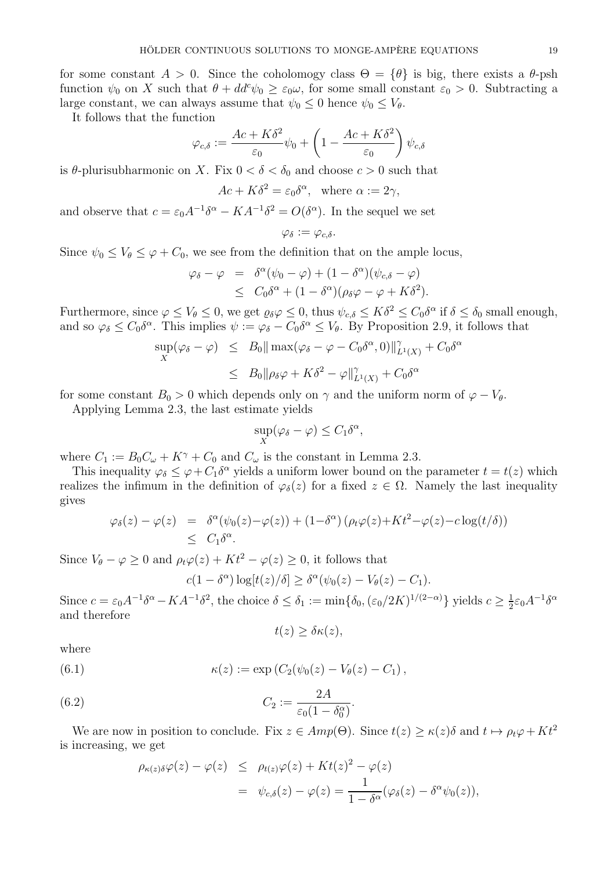for some constant  $A > 0$ . Since the coholomogy class  $\Theta = {\theta}$  is big, there exists a  $\theta$ -psh function  $\psi_0$  on X such that  $\theta + dd^c \psi_0 \geq \varepsilon_0 \omega$ , for some small constant  $\varepsilon_0 > 0$ . Subtracting a large constant, we can always assume that  $\psi_0 \leq 0$  hence  $\psi_0 \leq V_{\theta}$ .

It follows that the function

$$
\varphi_{c,\delta} := \frac{Ac + K\delta^2}{\varepsilon_0} \psi_0 + \left(1 - \frac{Ac + K\delta^2}{\varepsilon_0}\right) \psi_{c,\delta}
$$

is  $\theta$ -plurisubharmonic on X. Fix  $0 < \delta < \delta_0$  and choose  $c > 0$  such that

$$
Ac + K\delta^2 = \varepsilon_0 \delta^\alpha, \text{ where } \alpha := 2\gamma,
$$

and observe that  $c = \varepsilon_0 A^{-1} \delta^{\alpha} - K A^{-1} \delta^2 = O(\delta^{\alpha})$ . In the sequel we set

$$
\varphi_\delta:=\varphi_{c,\delta}.
$$

Since  $\psi_0 \leq V_\theta \leq \varphi + C_0$ , we see from the definition that on the ample locus,

$$
\varphi_{\delta} - \varphi = \delta^{\alpha}(\psi_0 - \varphi) + (1 - \delta^{\alpha})(\psi_{c,\delta} - \varphi)
$$
  
 
$$
\leq C_0 \delta^{\alpha} + (1 - \delta^{\alpha})(\rho_{\delta}\varphi - \varphi + K\delta^2).
$$

Furthermore, since  $\varphi \leq V_{\theta} \leq 0$ , we get  $\varrho_{\delta} \varphi \leq 0$ , thus  $\psi_{c,\delta} \leq K\delta^2 \leq C_0 \delta^{\alpha}$  if  $\delta \leq \delta_0$  small enough, and so  $\varphi_{\delta} \leq C_0 \delta^{\alpha}$ . This implies  $\psi := \varphi_{\delta} - C_0 \delta^{\alpha} \leq V_{\theta}$ . By Proposition 2.9, it follows that

$$
\sup_{X} (\varphi_{\delta} - \varphi) \leq B_0 \|\max(\varphi_{\delta} - \varphi - C_0 \delta^{\alpha}, 0)\|_{L^1(X)}^{\gamma} + C_0 \delta^{\alpha}
$$
  

$$
\leq B_0 \|\rho_{\delta} \varphi + K\delta^2 - \varphi\|_{L^1(X)}^{\gamma} + C_0 \delta^{\alpha}
$$

for some constant  $B_0 > 0$  which depends only on  $\gamma$  and the uniform norm of  $\varphi - V_{\theta}$ .

Applying Lemma 2.3, the last estimate yields

$$
\sup_X(\varphi_\delta - \varphi) \le C_1 \delta^\alpha,
$$

where  $C_1 := B_0 C_\omega + K^\gamma + C_0$  and  $C_\omega$  is the constant in Lemma 2.3.

This inequality  $\varphi_{\delta} \leq \varphi + C_1 \delta^{\alpha}$  yields a uniform lower bound on the parameter  $t = t(z)$  which realizes the infimum in the definition of  $\varphi_{\delta}(z)$  for a fixed  $z \in \Omega$ . Namely the last inequality gives

$$
\varphi_{\delta}(z) - \varphi(z) = \delta^{\alpha}(\psi_0(z) - \varphi(z)) + (1 - \delta^{\alpha})(\rho_t \varphi(z) + Kt^2 - \varphi(z) - c \log(t/\delta))
$$
  
\$\leq C\_1 \delta^{\alpha}\$.

Since  $V_{\theta} - \varphi \ge 0$  and  $\rho_t \varphi(z) + Kt^2 - \varphi(z) \ge 0$ , it follows that

$$
c(1 - \delta^{\alpha}) \log[t(z)/\delta] \geq \delta^{\alpha}(\psi_0(z) - V_{\theta}(z) - C_1).
$$

Since  $c = \varepsilon_0 A^{-1} \delta^{\alpha} - K A^{-1} \delta^2$ , the choice  $\delta \leq \delta_1 := \min \{ \delta_0, (\varepsilon_0 / 2K)^{1/(2-\alpha)} \}$  yields  $c \geq \frac{1}{2}$  $\frac{1}{2}\varepsilon_0 A^{-1}\delta^\alpha$ and therefore

$$
t(z) \geq \delta \kappa(z),
$$

where

(6.1) 
$$
\kappa(z) := \exp(C_2(\psi_0(z) - V_{\theta}(z) - C_1),
$$

(6.2) 
$$
C_2 := \frac{2A}{\varepsilon_0(1 - \delta_0^{\alpha})}.
$$

We are now in position to conclude. Fix  $z \in Amp(\Theta)$ . Since  $t(z) \ge \kappa(z)\delta$  and  $t \mapsto \rho_t\varphi + Kt^2$ is increasing, we get

$$
\rho_{\kappa(z)\delta}\varphi(z) - \varphi(z) \leq \rho_{t(z)}\varphi(z) + Kt(z)^2 - \varphi(z)
$$
  
= 
$$
\psi_{c,\delta}(z) - \varphi(z) = \frac{1}{1 - \delta^{\alpha}}(\varphi_{\delta}(z) - \delta^{\alpha}\psi_{0}(z)),
$$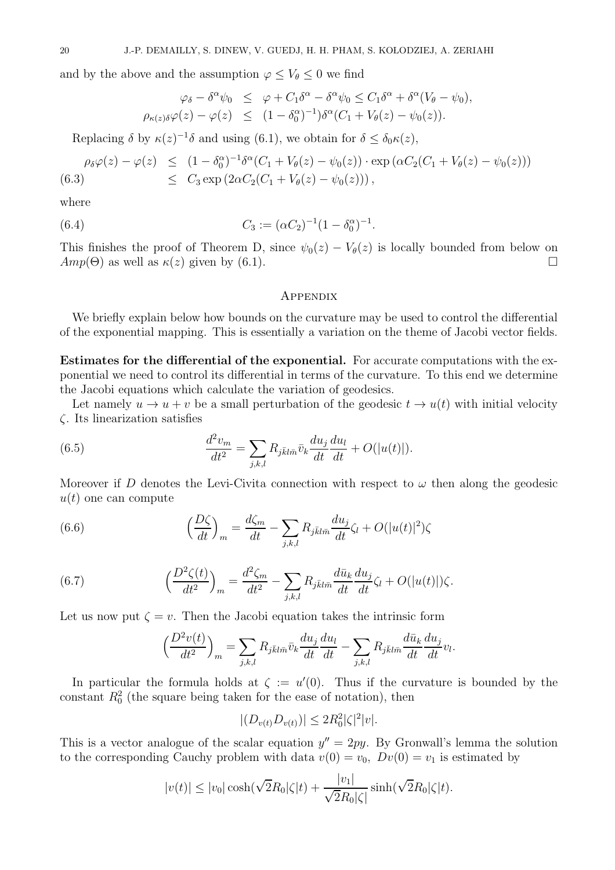and by the above and the assumption  $\varphi \leq V_{\theta} \leq 0$  we find

$$
\varphi_{\delta} - \delta^{\alpha} \psi_0 \leq \varphi + C_1 \delta^{\alpha} - \delta^{\alpha} \psi_0 \leq C_1 \delta^{\alpha} + \delta^{\alpha} (V_{\theta} - \psi_0),
$$
  

$$
\rho_{\kappa(z)\delta} \varphi(z) - \varphi(z) \leq (1 - \delta_0^{\alpha})^{-1} \delta^{\alpha} (C_1 + V_{\theta}(z) - \psi_0(z)).
$$

Replacing  $\delta$  by  $\kappa(z)^{-1}\delta$  and using (6.1), we obtain for  $\delta \leq \delta_0 \kappa(z)$ ,

$$
\rho_{\delta}\varphi(z) - \varphi(z) \leq (1 - \delta_0^{\alpha})^{-1} \delta^{\alpha} (C_1 + V_{\theta}(z) - \psi_0(z)) \cdot \exp(\alpha C_2 (C_1 + V_{\theta}(z) - \psi_0(z)))
$$
  
(6.3) 
$$
\leq C_3 \exp(2\alpha C_2 (C_1 + V_{\theta}(z) - \psi_0(z))),
$$

where

(6.4) 
$$
C_3 := (\alpha C_2)^{-1} (1 - \delta_0^{\alpha})^{-1}.
$$

This finishes the proof of Theorem D, since  $\psi_0(z) - V_\theta(z)$  is locally bounded from below on  $Amp(\Theta)$  as well as  $\kappa(z)$  given by (6.1).  $Amp(\Theta)$  as well as  $\kappa(z)$  given by (6.1).

## **APPENDIX**

We briefly explain below how bounds on the curvature may be used to control the differential of the exponential mapping. This is essentially a variation on the theme of Jacobi vector fields.

Estimates for the differential of the exponential. For accurate computations with the exponential we need to control its differential in terms of the curvature. To this end we determine the Jacobi equations which calculate the variation of geodesics.

Let namely  $u \to u + v$  be a small perturbation of the geodesic  $t \to u(t)$  with initial velocity ζ. Its linearization satisfies

(6.5) 
$$
\frac{d^2v_m}{dt^2} = \sum_{j,k,l} R_{j\bar{k}l\bar{m}} \bar{v}_k \frac{du_j}{dt} \frac{du_l}{dt} + O(|u(t)|).
$$

Moreover if D denotes the Levi-Civita connection with respect to  $\omega$  then along the geodesic  $u(t)$  one can compute

(6.6) 
$$
\left(\frac{D\zeta}{dt}\right)_m = \frac{d\zeta_m}{dt} - \sum_{j,k,l} R_{j\bar{k}l\bar{m}} \frac{du_j}{dt} \zeta_l + O(|u(t)|^2) \zeta_l
$$

(6.7) 
$$
\left(\frac{D^2\zeta(t)}{dt^2}\right)_m = \frac{d^2\zeta_m}{dt^2} - \sum_{j,k,l} R_{j\bar{k}l\bar{m}} \frac{d\bar{u}_k}{dt} \frac{d u_j}{dt} \zeta_l + O(|u(t)|)\zeta.
$$

Let us now put  $\zeta = v$ . Then the Jacobi equation takes the intrinsic form

$$
\left(\frac{D^2v(t)}{dt^2}\right)_m = \sum_{j,k,l} R_{j\bar{k}l\bar{m}} \bar{v}_k \frac{du_j}{dt} \frac{du_l}{dt} - \sum_{j,k,l} R_{j\bar{k}l\bar{m}} \frac{d\bar{u}_k}{dt} \frac{du_j}{dt} v_l.
$$

In particular the formula holds at  $\zeta := u'(0)$ . Thus if the curvature is bounded by the constant  $R_0^2$  (the square being taken for the ease of notation), then

$$
|(D_{v(t)}D_{v(t)})| \le 2R_0^2 |\zeta|^2 |v|.
$$

This is a vector analogue of the scalar equation  $y'' = 2py$ . By Gronwall's lemma the solution to the corresponding Cauchy problem with data  $v(0) = v_0$ ,  $Dv(0) = v_1$  is estimated by

$$
|v(t)| \le |v_0| \cosh(\sqrt{2}R_0|\zeta|t) + \frac{|v_1|}{\sqrt{2}R_0|\zeta|} \sinh(\sqrt{2}R_0|\zeta|t).
$$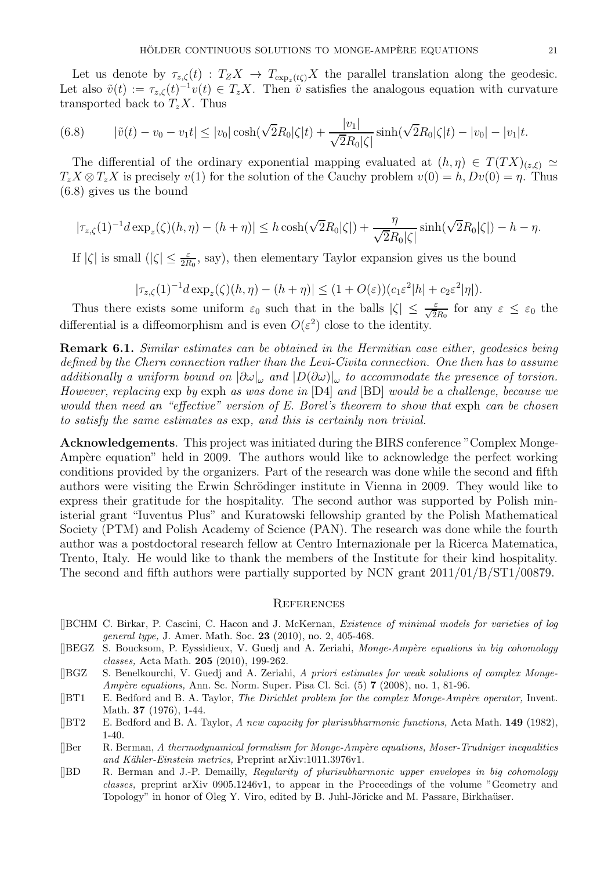Let us denote by  $\tau_{z,\zeta}(t)$  :  $T_Z X \to T_{\exp_z(t\zeta)} X$  the parallel translation along the geodesic. Let also  $\tilde{v}(t) := \tau_{z,\zeta}(t)^{-1}v(t) \in T_zX$ . Then  $\tilde{v}$  satisfies the analogous equation with curvature transported back to  $T_zX$ . Thus

(6.8) 
$$
|\tilde{v}(t) - v_0 - v_1 t| \le |v_0| \cosh(\sqrt{2}R_0|\zeta|t) + \frac{|v_1|}{\sqrt{2}R_0|\zeta|} \sinh(\sqrt{2}R_0|\zeta|t) - |v_0| - |v_1|t.
$$

The differential of the ordinary exponential mapping evaluated at  $(h, \eta) \in T(TX)_{(z,\xi)} \simeq$  $T_zX \otimes T_zX$  is precisely  $v(1)$  for the solution of the Cauchy problem  $v(0) = h, Dv(0) = \eta$ . Thus (6.8) gives us the bound

$$
|\tau_{z,\zeta}(1)^{-1}d\exp_z(\zeta)(h,\eta)-(h+\eta)|\leq h\cosh(\sqrt{2}R_0|\zeta|)+\frac{\eta}{\sqrt{2}R_0|\zeta|}\sinh(\sqrt{2}R_0|\zeta|)-h-\eta.
$$

If  $|\zeta|$  is small  $(|\zeta| \leq \frac{\varepsilon}{2R_0}$ , say), then elementary Taylor expansion gives us the bound

$$
|\tau_{z,\zeta}(1)^{-1}d\exp_z(\zeta)(h,\eta)-(h+\eta)|\leq (1+O(\varepsilon))(c_1\varepsilon^2|h|+c_2\varepsilon^2|\eta|).
$$

Thus there exists some uniform  $\varepsilon_0$  such that in the balls  $|\zeta| \leq \frac{\varepsilon}{\sqrt{2R_0}}$  for any  $\varepsilon \leq \varepsilon_0$  the differential is a diffeomorphism and is even  $O(\varepsilon^2)$  close to the identity.

Remark 6.1. Similar estimates can be obtained in the Hermitian case either, geodesics being defined by the Chern connection rather than the Levi-Civita connection. One then has to assume additionally a uniform bound on  $|\partial \omega|_{\omega}$  and  $|D(\partial \omega)|_{\omega}$  to accommodate the presence of torsion. However, replacing exp by exph as was done in [D4] and [BD] would be a challenge, because we would then need an "effective" version of E. Borel's theorem to show that exph can be chosen to satisfy the same estimates as exp, and this is certainly non trivial.

Acknowledgements. This project was initiated during the BIRS conference "Complex Monge-Ampère equation" held in 2009. The authors would like to acknowledge the perfect working conditions provided by the organizers. Part of the research was done while the second and fifth authors were visiting the Erwin Schrödinger institute in Vienna in 2009. They would like to express their gratitude for the hospitality. The second author was supported by Polish ministerial grant "Iuventus Plus" and Kuratowski fellowship granted by the Polish Mathematical Society (PTM) and Polish Academy of Science (PAN). The research was done while the fourth author was a postdoctoral research fellow at Centro Internazionale per la Ricerca Matematica, Trento, Italy. He would like to thank the members of the Institute for their kind hospitality. The second and fifth authors were partially supported by NCN grant 2011/01/B/ST1/00879.

## **REFERENCES**

- []BCHM C. Birkar, P. Cascini, C. Hacon and J. McKernan, Existence of minimal models for varieties of log general type, J. Amer. Math. Soc. 23 (2010), no. 2, 405-468.
- [BEGZ S. Boucksom, P. Eyssidieux, V. Guedj and A. Zeriahi, Monge-Ampère equations in big cohomology classes, Acta Math. 205 (2010), 199-262.
- []BGZ S. Benelkourchi, V. Guedj and A. Zeriahi, A priori estimates for weak solutions of complex Monge-Ampère equations, Ann. Sc. Norm. Super. Pisa Cl. Sci. (5) 7 (2008), no. 1, 81-96.
- $[|BT1]$  E. Bedford and B. A. Taylor, The Dirichlet problem for the complex Monge-Ampère operator, Invent. Math. 37 (1976), 1-44.
- [ $|BT2$  E. Bedford and B. A. Taylor, A new capacity for plurisubharmonic functions, Acta Math. 149 (1982), 1-40.
- []Ber R. Berman, A thermodynamical formalism for Monge-Amp`ere equations, Moser-Trudniger inequalities and Kähler-Einstein metrics, Preprint arXiv:1011.3976v1.
- []BD R. Berman and J.-P. Demailly, Regularity of plurisubharmonic upper envelopes in big cohomology classes, preprint arXiv 0905.1246v1, to appear in the Proceedings of the volume "Geometry and Topology" in honor of Oleg Y. Viro, edited by B. Juhl-Jöricke and M. Passare, Birkhaüser.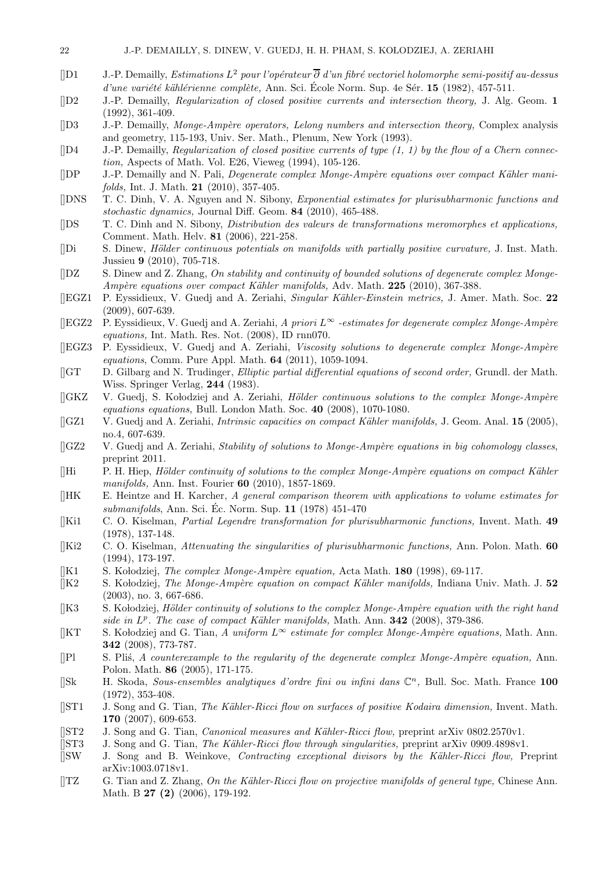- [D1 J.-P. Demailly, Estimations  $L^2$  pour l'opérateur  $\overline{\partial}$  d'un fibré vectoriel holomorphe semi-positif au-dessus  $d'$ une variété kählérienne complète, Ann. Sci. École Norm. Sup. 4e Sér. 15 (1982), 457-511.
- []D2 J.-P. Demailly, Regularization of closed positive currents and intersection theory, J. Alg. Geom. 1 (1992), 361-409.
- [D3 J.-P. Demailly, Monge-Ampère operators, Lelong numbers and intersection theory, Complex analysis and geometry, 115-193, Univ. Ser. Math., Plenum, New York (1993).
- $[$ D4 J.-P. Demailly, Regularization of closed positive currents of type  $(1, 1)$  by the flow of a Chern connection, Aspects of Math. Vol. E26, Vieweg (1994), 105-126.
- [DP J.-P. Demailly and N. Pali, *Degenerate complex Monge-Ampère equations over compact Kähler mani*folds, Int. J. Math. 21 (2010), 357-405.
- []DNS T. C. Dinh, V. A. Nguyen and N. Sibony, Exponential estimates for plurisubharmonic functions and stochastic dynamics, Journal Diff. Geom. 84 (2010), 465-488.
- []DS T. C. Dinh and N. Sibony, Distribution des valeurs de transformations meromorphes et applications, Comment. Math. Helv. 81 (2006), 221-258.
- [Di S. Dinew, *Hölder continuous potentials on manifolds with partially positive curvature*, J. Inst. Math. Jussieu 9 (2010), 705-718.
- $[|DZ|]$  S. Dinew and Z. Zhang, On stability and continuity of bounded solutions of degenerate complex Monge-Ampère equations over compact Kähler manifolds, Adv. Math.  $225$  (2010), 367-388.
- []EGZ1 P. Eyssidieux, V. Guedj and A. Zeriahi, Singular K¨ahler-Einstein metrics, J. Amer. Math. Soc. 22 (2009), 607-639.
- [[EGZ2 P. Eyssidieux, V. Guedj and A. Zeriahi, A priori  $L^{\infty}$  -estimates for degenerate complex Monge-Ampère equations, Int. Math. Res. Not. (2008), ID rnn070.
- [[EGZ3 P. Eyssidieux, V. Guedj and A. Zeriahi, Viscosity solutions to degenerate complex Monge-Ampère equations, Comm. Pure Appl. Math. 64 (2011), 1059-1094.
- []GT D. Gilbarg and N. Trudinger, Elliptic partial differential equations of second order, Grundl. der Math. Wiss. Springer Verlag, 244 (1983).
- $[|GKZ \quad V. \text{ Gued}$ ; S. Kołodziej and A. Zeriahi, Hölder continuous solutions to the complex Monge-Ampère equations equations, Bull. London Math. Soc. 40 (2008), 1070-1080.
- [[GZ1 V. Guedj and A. Zeriahi, *Intrinsic capacities on compact Kähler manifolds*, J. Geom. Anal. 15 (2005), no.4, 607-639.
- $[|GZ2 \quad V. \text{ Gued}]\$  and A. Zeriahi, Stability of solutions to Monge-Ampère equations in big cohomology classes, preprint 2011.
- $[]$ Hi P. H. Hiep, Hölder continuity of solutions to the complex Monge-Ampère equations on compact Kähler manifolds, Ann. Inst. Fourier 60 (2010), 1857-1869.
- $[|HK]$  E. Heintze and H. Karcher, A general comparison theorem with applications to volume estimates for submanifolds, Ann. Sci. Éc. Norm. Sup.  $11$  (1978) 451-470
- []Ki1 C. O. Kiselman, Partial Legendre transformation for plurisubharmonic functions, Invent. Math. 49 (1978), 137-148.
- $[|Ki2 \t C. O. Kiselman, *Attentioning the singularities of plurisubharmonic functions*, Ann. Polon. Math. 60$ (1994), 173-197.
- [ $\vert$ K1 S. Kołodziej, *The complex Monge-Ampère equation*, Acta Math. **180** (1998), 69-117.
- $[|K2 \quad S.$  Kołodziej, *The Monge-Ampère equation on compact Kähler manifolds*, Indiana Univ. Math. J. 52 (2003), no. 3, 667-686.
- $[$ K3 S. Kołodziej, Hölder continuity of solutions to the complex Monge-Ampère equation with the right hand side in  $L^p$ . The case of compact Kähler manifolds, Math. Ann. **342** (2008), 379-386.
- [KT S. Kołodziej and G. Tian, A uniform  $L^{\infty}$  estimate for complex Monge-Ampère equations, Math. Ann. 342 (2008), 773-787.
- $[$ [Pl S. Plis, A counterexample to the regularity of the degenerate complex Monge-Ampère equation, Ann. Polon. Math. 86 (2005), 171-175.
- [Sk H. Skoda, Sous-ensembles analytiques d'ordre fini ou infini dans  $\mathbb{C}^n$ , Bull. Soc. Math. France 100 (1972), 353-408.
- [[ST1 J. Song and G. Tian, The Kähler-Ricci flow on surfaces of positive Kodaira dimension, Invent. Math. 170 (2007), 609-653.
- [[ST2 J. Song and G. Tian, *Canonical measures and Kähler-Ricci flow,* preprint arXiv 0802.2570v1.
- [[ST3 J. Song and G. Tian, The Kähler-Ricci flow through singularities, preprint arXiv 0909.4898v1.
- []SW J. Song and B. Weinkove, Contracting exceptional divisors by the K¨ahler-Ricci flow, Preprint arXiv:1003.0718v1.
- $[|TZ\quad G.$  Tian and Z. Zhang, On the Kähler-Ricci flow on projective manifolds of general type, Chinese Ann. Math. B 27 (2) (2006), 179-192.